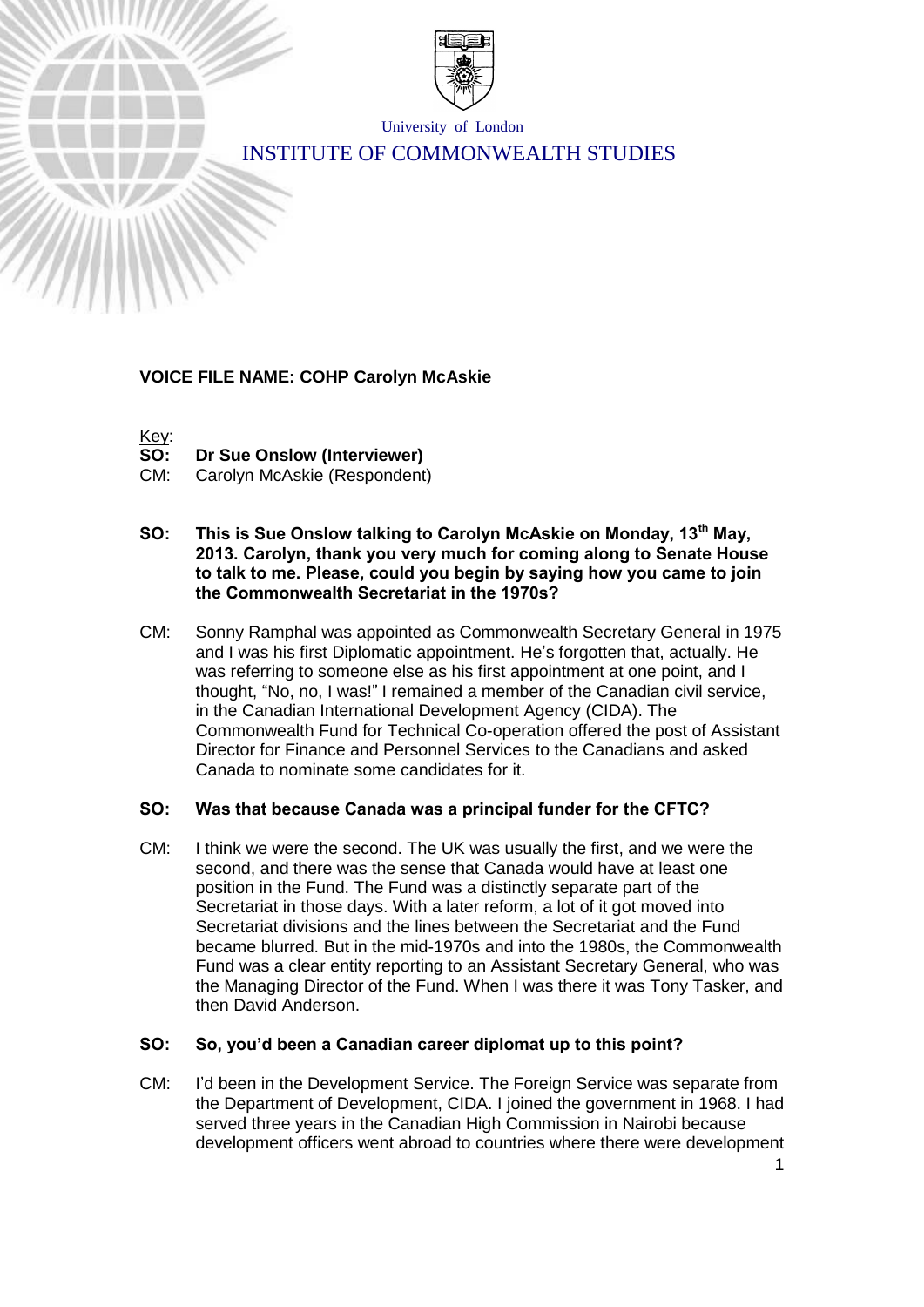

University of London

# INSTITUTE OF COMMONWEALTH STUDIES

## **VOICE FILE NAME: COHP Carolyn McAskie**



**Dr Sue Onslow (Interviewer)** 

CM: Carolyn McAskie (Respondent)

- **SO: This is Sue Onslow talking to Carolyn McAskie on Monday, 13th May, 2013. Carolyn, thank you very much for coming along to Senate House to talk to me. Please, could you begin by saying how you came to join the Commonwealth Secretariat in the 1970s?**
- CM: Sonny Ramphal was appointed as Commonwealth Secretary General in 1975 and I was his first Diplomatic appointment. He's forgotten that, actually. He was referring to someone else as his first appointment at one point, and I thought, "No, no, I was!" I remained a member of the Canadian civil service, in the Canadian International Development Agency (CIDA). The Commonwealth Fund for Technical Co-operation offered the post of Assistant Director for Finance and Personnel Services to the Canadians and asked Canada to nominate some candidates for it.

## **SO: Was that because Canada was a principal funder for the CFTC?**

CM: I think we were the second. The UK was usually the first, and we were the second, and there was the sense that Canada would have at least one position in the Fund. The Fund was a distinctly separate part of the Secretariat in those days. With a later reform, a lot of it got moved into Secretariat divisions and the lines between the Secretariat and the Fund became blurred. But in the mid-1970s and into the 1980s, the Commonwealth Fund was a clear entity reporting to an Assistant Secretary General, who was the Managing Director of the Fund. When I was there it was Tony Tasker, and then David Anderson.

## **SO: So, you'd been a Canadian career diplomat up to this point?**

CM: I'd been in the Development Service. The Foreign Service was separate from the Department of Development, CIDA. I joined the government in 1968. I had served three years in the Canadian High Commission in Nairobi because development officers went abroad to countries where there were development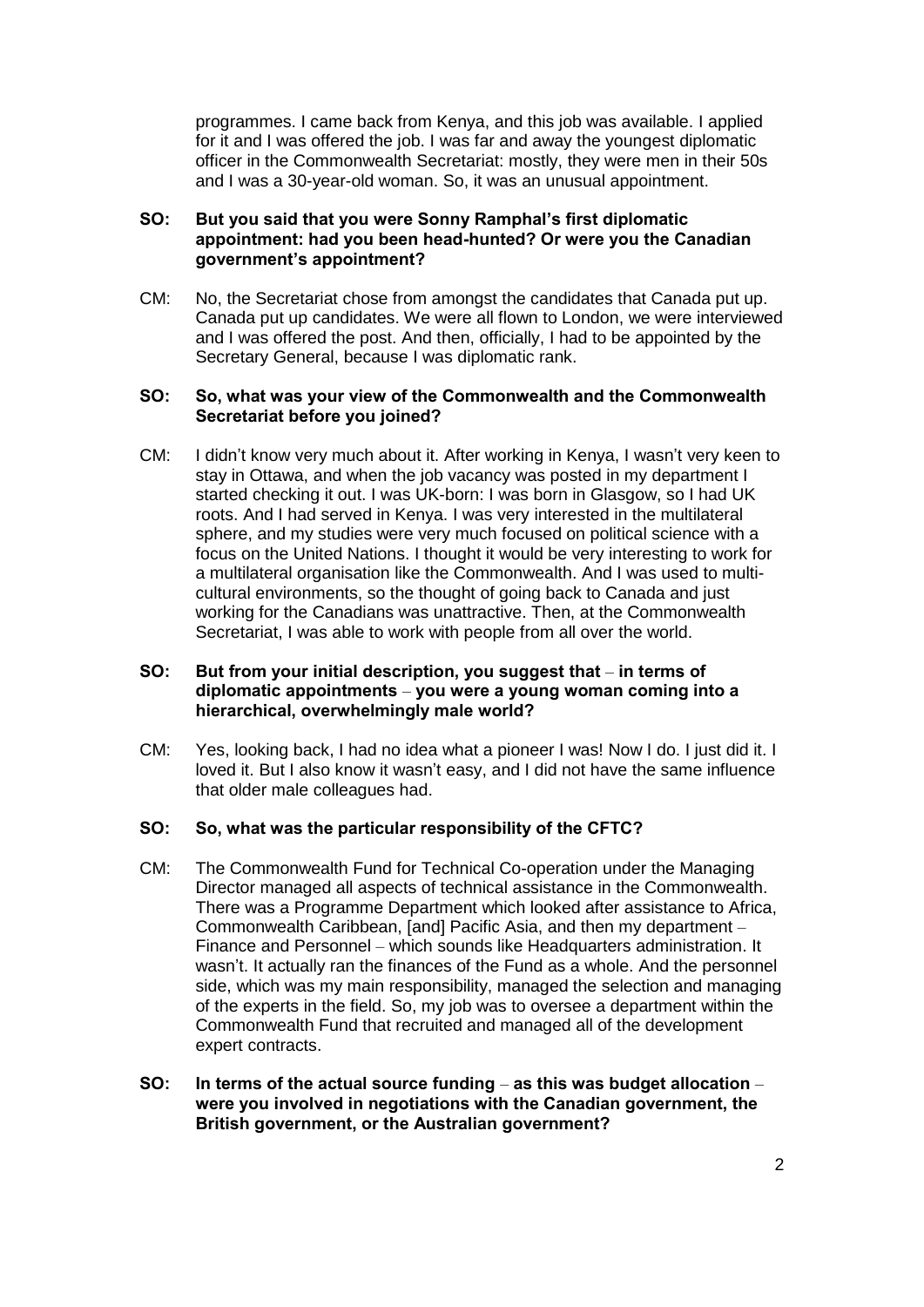programmes. I came back from Kenya, and this job was available. I applied for it and I was offered the job. I was far and away the youngest diplomatic officer in the Commonwealth Secretariat: mostly, they were men in their 50s and I was a 30-year-old woman. So, it was an unusual appointment.

## **SO: But you said that you were Sonny Ramphal's first diplomatic appointment: had you been head-hunted? Or were you the Canadian government's appointment?**

CM: No, the Secretariat chose from amongst the candidates that Canada put up. Canada put up candidates. We were all flown to London, we were interviewed and I was offered the post. And then, officially, I had to be appointed by the Secretary General, because I was diplomatic rank.

### **SO: So, what was your view of the Commonwealth and the Commonwealth Secretariat before you joined?**

CM: I didn't know very much about it. After working in Kenya, I wasn't very keen to stay in Ottawa, and when the job vacancy was posted in my department I started checking it out. I was UK-born: I was born in Glasgow, so I had UK roots. And I had served in Kenya. I was very interested in the multilateral sphere, and my studies were very much focused on political science with a focus on the United Nations. I thought it would be very interesting to work for a multilateral organisation like the Commonwealth. And I was used to multicultural environments, so the thought of going back to Canada and just working for the Canadians was unattractive. Then, at the Commonwealth Secretariat, I was able to work with people from all over the world.

## **SO: But from your initial description, you suggest that** – **in terms of diplomatic appointments** – **you were a young woman coming into a hierarchical, overwhelmingly male world?**

CM: Yes, looking back, I had no idea what a pioneer I was! Now I do. I just did it. I loved it. But I also know it wasn't easy, and I did not have the same influence that older male colleagues had.

#### **SO: So, what was the particular responsibility of the CFTC?**

- CM: The Commonwealth Fund for Technical Co-operation under the Managing Director managed all aspects of technical assistance in the Commonwealth. There was a Programme Department which looked after assistance to Africa, Commonwealth Caribbean, [and] Pacific Asia, and then my department – Finance and Personnel – which sounds like Headquarters administration. It wasn't. It actually ran the finances of the Fund as a whole. And the personnel side, which was my main responsibility, managed the selection and managing of the experts in the field. So, my job was to oversee a department within the Commonwealth Fund that recruited and managed all of the development expert contracts.
- **SO: In terms of the actual source funding as this was budget allocation were you involved in negotiations with the Canadian government, the British government, or the Australian government?**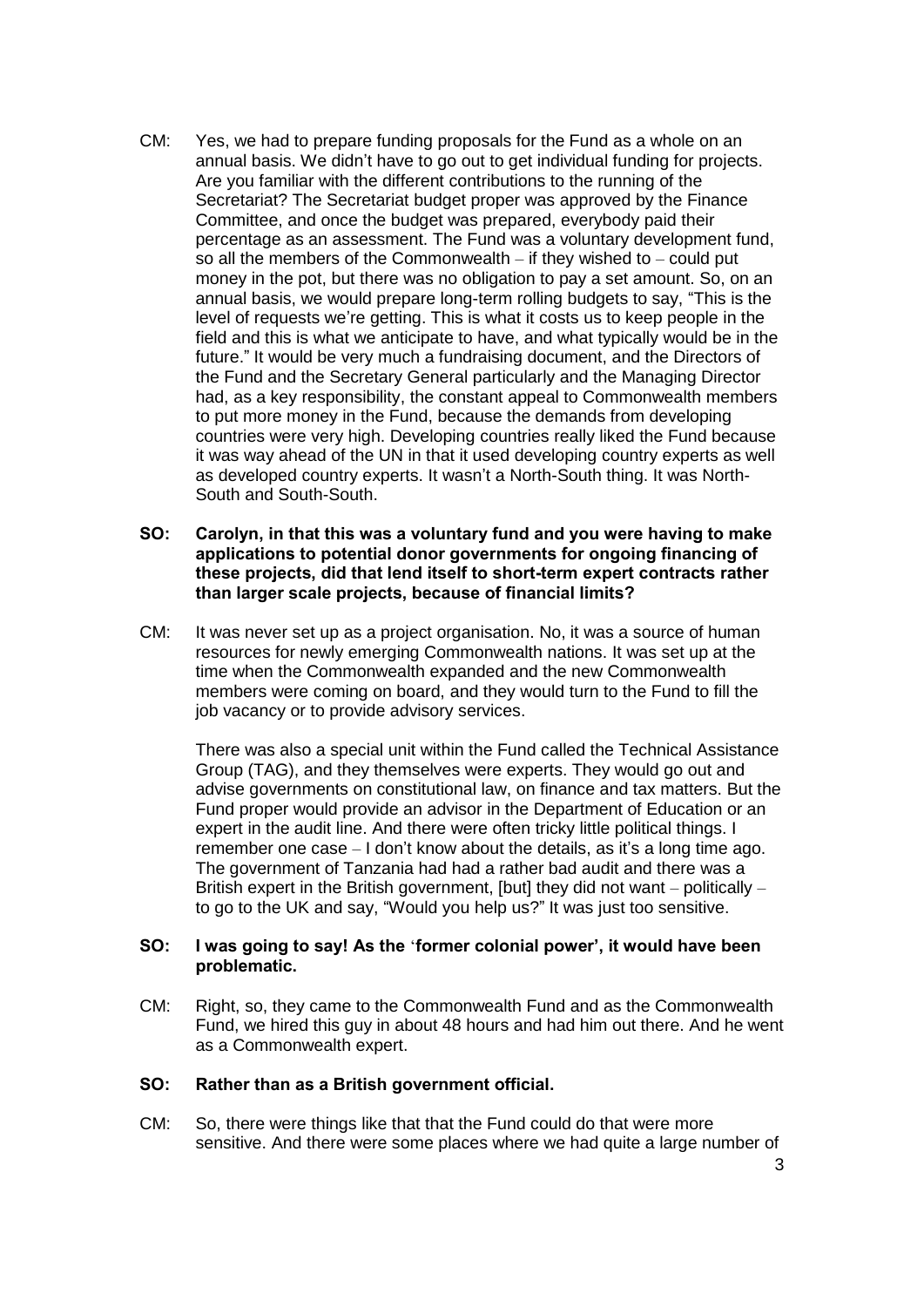- CM: Yes, we had to prepare funding proposals for the Fund as a whole on an annual basis. We didn't have to go out to get individual funding for projects. Are you familiar with the different contributions to the running of the Secretariat? The Secretariat budget proper was approved by the Finance Committee, and once the budget was prepared, everybody paid their percentage as an assessment. The Fund was a voluntary development fund, so all the members of the Commonwealth – if they wished to – could put money in the pot, but there was no obligation to pay a set amount. So, on an annual basis, we would prepare long-term rolling budgets to say, "This is the level of requests we're getting. This is what it costs us to keep people in the field and this is what we anticipate to have, and what typically would be in the future." It would be very much a fundraising document, and the Directors of the Fund and the Secretary General particularly and the Managing Director had, as a key responsibility, the constant appeal to Commonwealth members to put more money in the Fund, because the demands from developing countries were very high. Developing countries really liked the Fund because it was way ahead of the UN in that it used developing country experts as well as developed country experts. It wasn't a North-South thing. It was North-South and South-South.
- **SO: Carolyn, in that this was a voluntary fund and you were having to make applications to potential donor governments for ongoing financing of these projects, did that lend itself to short-term expert contracts rather than larger scale projects, because of financial limits?**
- CM: It was never set up as a project organisation. No, it was a source of human resources for newly emerging Commonwealth nations. It was set up at the time when the Commonwealth expanded and the new Commonwealth members were coming on board, and they would turn to the Fund to fill the job vacancy or to provide advisory services.

There was also a special unit within the Fund called the Technical Assistance Group (TAG), and they themselves were experts. They would go out and advise governments on constitutional law, on finance and tax matters. But the Fund proper would provide an advisor in the Department of Education or an expert in the audit line. And there were often tricky little political things. I remember one case – I don't know about the details, as it's a long time ago. The government of Tanzania had had a rather bad audit and there was a British expert in the British government, [but] they did not want – politically – to go to the UK and say, "Would you help us?" It was just too sensitive.

#### **SO: I was going to say! As the** '**former colonial power', it would have been problematic.**

CM: Right, so, they came to the Commonwealth Fund and as the Commonwealth Fund, we hired this guy in about 48 hours and had him out there. And he went as a Commonwealth expert.

#### **SO: Rather than as a British government official.**

CM: So, there were things like that that the Fund could do that were more sensitive. And there were some places where we had quite a large number of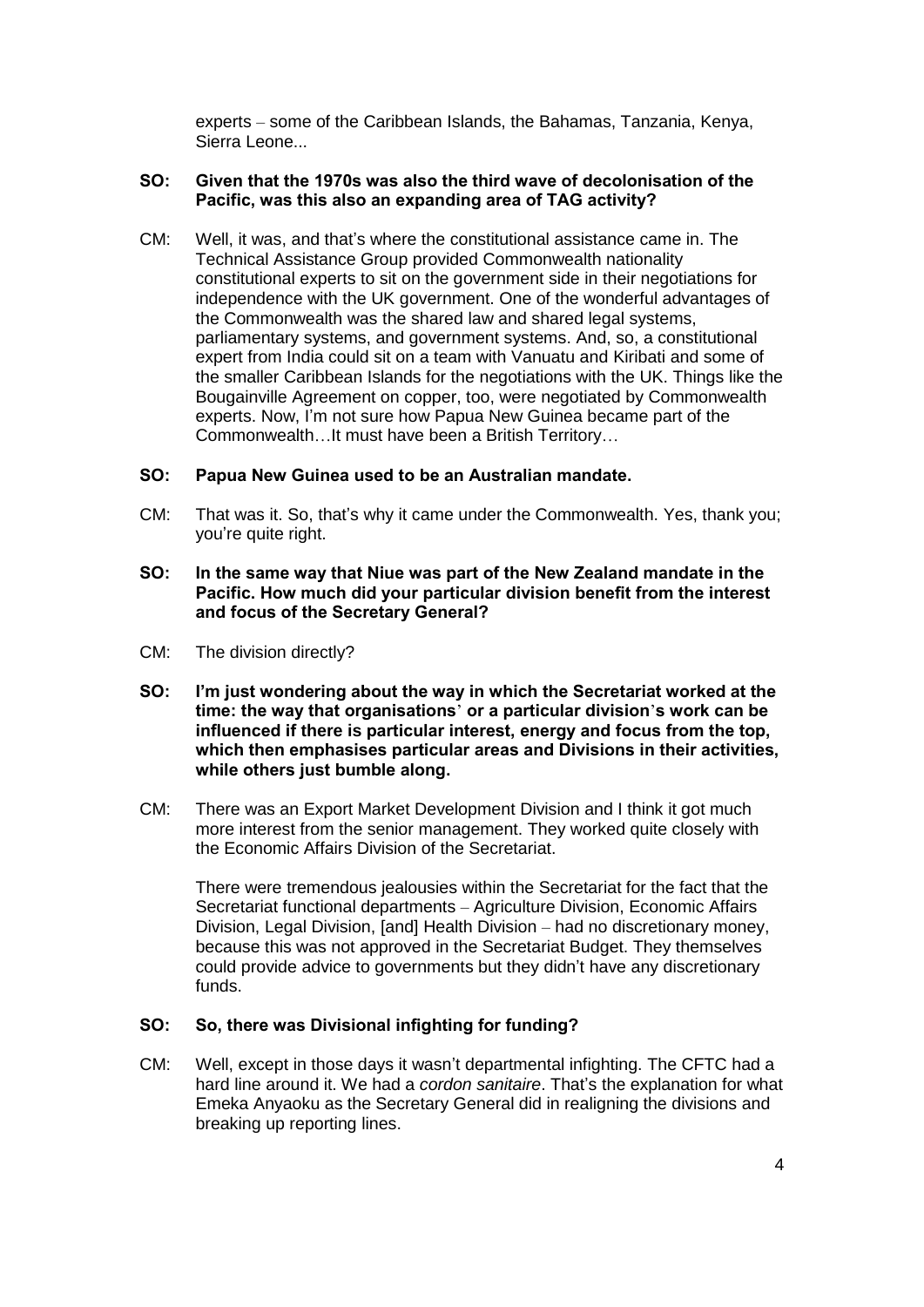experts – some of the Caribbean Islands, the Bahamas, Tanzania, Kenya, Sierra Leone...

## **SO: Given that the 1970s was also the third wave of decolonisation of the Pacific, was this also an expanding area of TAG activity?**

CM: Well, it was, and that's where the constitutional assistance came in. The Technical Assistance Group provided Commonwealth nationality constitutional experts to sit on the government side in their negotiations for independence with the UK government. One of the wonderful advantages of the Commonwealth was the shared law and shared legal systems, parliamentary systems, and government systems. And, so, a constitutional expert from India could sit on a team with Vanuatu and Kiribati and some of the smaller Caribbean Islands for the negotiations with the UK. Things like the Bougainville Agreement on copper, too, were negotiated by Commonwealth experts. Now, I'm not sure how Papua New Guinea became part of the Commonwealth…It must have been a British Territory…

## **SO: Papua New Guinea used to be an Australian mandate.**

- CM: That was it. So, that's why it came under the Commonwealth. Yes, thank you; you're quite right.
- **SO: In the same way that Niue was part of the New Zealand mandate in the Pacific. How much did your particular division benefit from the interest and focus of the Secretary General?**
- CM: The division directly?
- **SO: I'm just wondering about the way in which the Secretariat worked at the time: the way that organisations**' **or a particular division**'**s work can be influenced if there is particular interest, energy and focus from the top, which then emphasises particular areas and Divisions in their activities, while others just bumble along.**
- CM: There was an Export Market Development Division and I think it got much more interest from the senior management. They worked quite closely with the Economic Affairs Division of the Secretariat.

There were tremendous jealousies within the Secretariat for the fact that the Secretariat functional departments – Agriculture Division, Economic Affairs Division, Legal Division, [and] Health Division – had no discretionary money, because this was not approved in the Secretariat Budget. They themselves could provide advice to governments but they didn't have any discretionary funds.

## **SO: So, there was Divisional infighting for funding?**

CM: Well, except in those days it wasn't departmental infighting. The CFTC had a hard line around it. We had a *cordon sanitaire*. That's the explanation for what Emeka Anyaoku as the Secretary General did in realigning the divisions and breaking up reporting lines.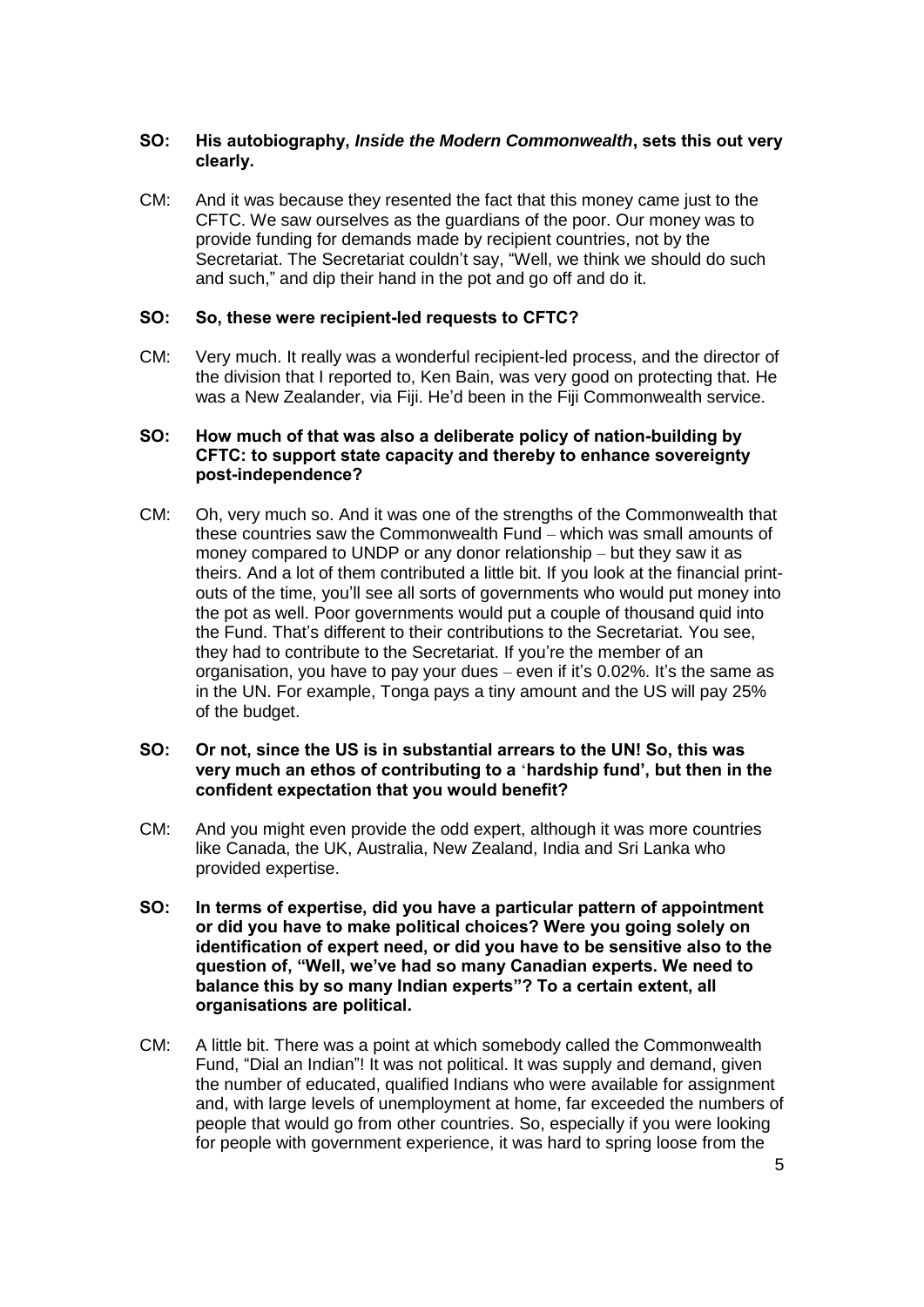## **SO: His autobiography,** *Inside the Modern Commonwealth***, sets this out very clearly.**

CM: And it was because they resented the fact that this money came just to the CFTC. We saw ourselves as the guardians of the poor. Our money was to provide funding for demands made by recipient countries, not by the Secretariat. The Secretariat couldn't say, "Well, we think we should do such and such," and dip their hand in the pot and go off and do it.

## **SO: So, these were recipient-led requests to CFTC?**

CM: Very much. It really was a wonderful recipient-led process, and the director of the division that I reported to, Ken Bain, was very good on protecting that. He was a New Zealander, via Fiji. He'd been in the Fiji Commonwealth service.

### **SO: How much of that was also a deliberate policy of nation-building by CFTC: to support state capacity and thereby to enhance sovereignty post-independence?**

CM: Oh, very much so. And it was one of the strengths of the Commonwealth that these countries saw the Commonwealth Fund – which was small amounts of money compared to UNDP or any donor relationship – but they saw it as theirs. And a lot of them contributed a little bit. If you look at the financial printouts of the time, you'll see all sorts of governments who would put money into the pot as well. Poor governments would put a couple of thousand quid into the Fund. That's different to their contributions to the Secretariat. You see, they had to contribute to the Secretariat. If you're the member of an organisation, you have to pay your dues – even if it's 0.02%. It's the same as in the UN. For example, Tonga pays a tiny amount and the US will pay 25% of the budget.

### **SO: Or not, since the US is in substantial arrears to the UN! So, this was very much an ethos of contributing to a** '**hardship fund', but then in the confident expectation that you would benefit?**

- CM: And you might even provide the odd expert, although it was more countries like Canada, the UK, Australia, New Zealand, India and Sri Lanka who provided expertise.
- **SO: In terms of expertise, did you have a particular pattern of appointment or did you have to make political choices? Were you going solely on identification of expert need, or did you have to be sensitive also to the question of, "Well, we've had so many Canadian experts. We need to balance this by so many Indian experts"? To a certain extent, all organisations are political.**
- CM: A little bit. There was a point at which somebody called the Commonwealth Fund, "Dial an Indian"! It was not political. It was supply and demand, given the number of educated, qualified Indians who were available for assignment and, with large levels of unemployment at home, far exceeded the numbers of people that would go from other countries. So, especially if you were looking for people with government experience, it was hard to spring loose from the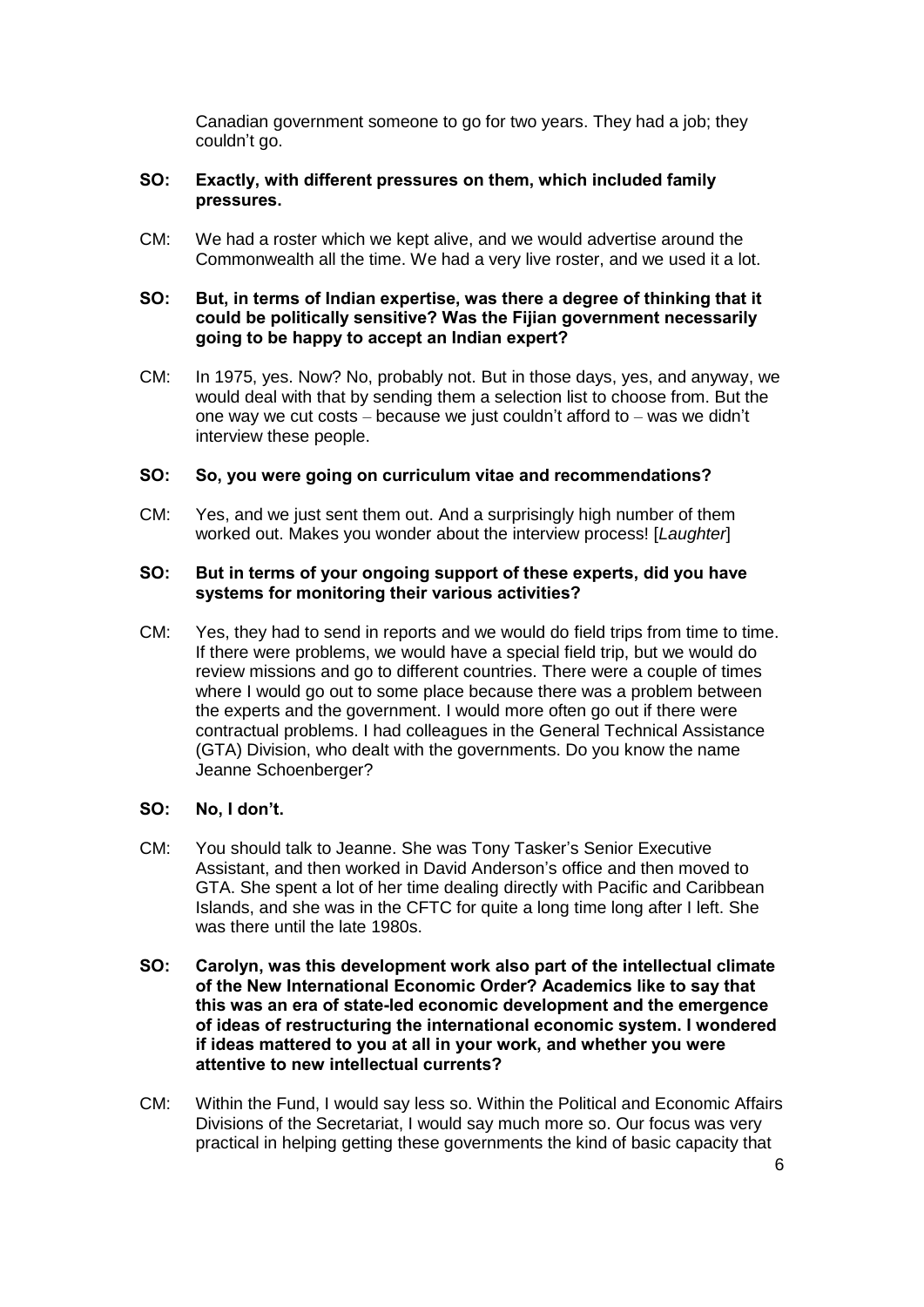Canadian government someone to go for two years. They had a job; they couldn't go.

## **SO: Exactly, with different pressures on them, which included family pressures.**

CM: We had a roster which we kept alive, and we would advertise around the Commonwealth all the time. We had a very live roster, and we used it a lot.

## **SO: But, in terms of Indian expertise, was there a degree of thinking that it could be politically sensitive? Was the Fijian government necessarily going to be happy to accept an Indian expert?**

CM: In 1975, yes. Now? No, probably not. But in those days, yes, and anyway, we would deal with that by sending them a selection list to choose from. But the one way we cut costs – because we just couldn't afford to – was we didn't interview these people.

## **SO: So, you were going on curriculum vitae and recommendations?**

CM: Yes, and we just sent them out. And a surprisingly high number of them worked out. Makes you wonder about the interview process! [*Laughter*]

## **SO: But in terms of your ongoing support of these experts, did you have systems for monitoring their various activities?**

CM: Yes, they had to send in reports and we would do field trips from time to time. If there were problems, we would have a special field trip, but we would do review missions and go to different countries. There were a couple of times where I would go out to some place because there was a problem between the experts and the government. I would more often go out if there were contractual problems. I had colleagues in the General Technical Assistance (GTA) Division, who dealt with the governments. Do you know the name Jeanne Schoenberger?

## **SO: No, I don't.**

- CM: You should talk to Jeanne. She was Tony Tasker's Senior Executive Assistant, and then worked in David Anderson's office and then moved to GTA. She spent a lot of her time dealing directly with Pacific and Caribbean Islands, and she was in the CFTC for quite a long time long after I left. She was there until the late 1980s.
- **SO: Carolyn, was this development work also part of the intellectual climate of the New International Economic Order? Academics like to say that this was an era of state-led economic development and the emergence of ideas of restructuring the international economic system. I wondered if ideas mattered to you at all in your work, and whether you were attentive to new intellectual currents?**
- CM: Within the Fund, I would say less so. Within the Political and Economic Affairs Divisions of the Secretariat, I would say much more so. Our focus was very practical in helping getting these governments the kind of basic capacity that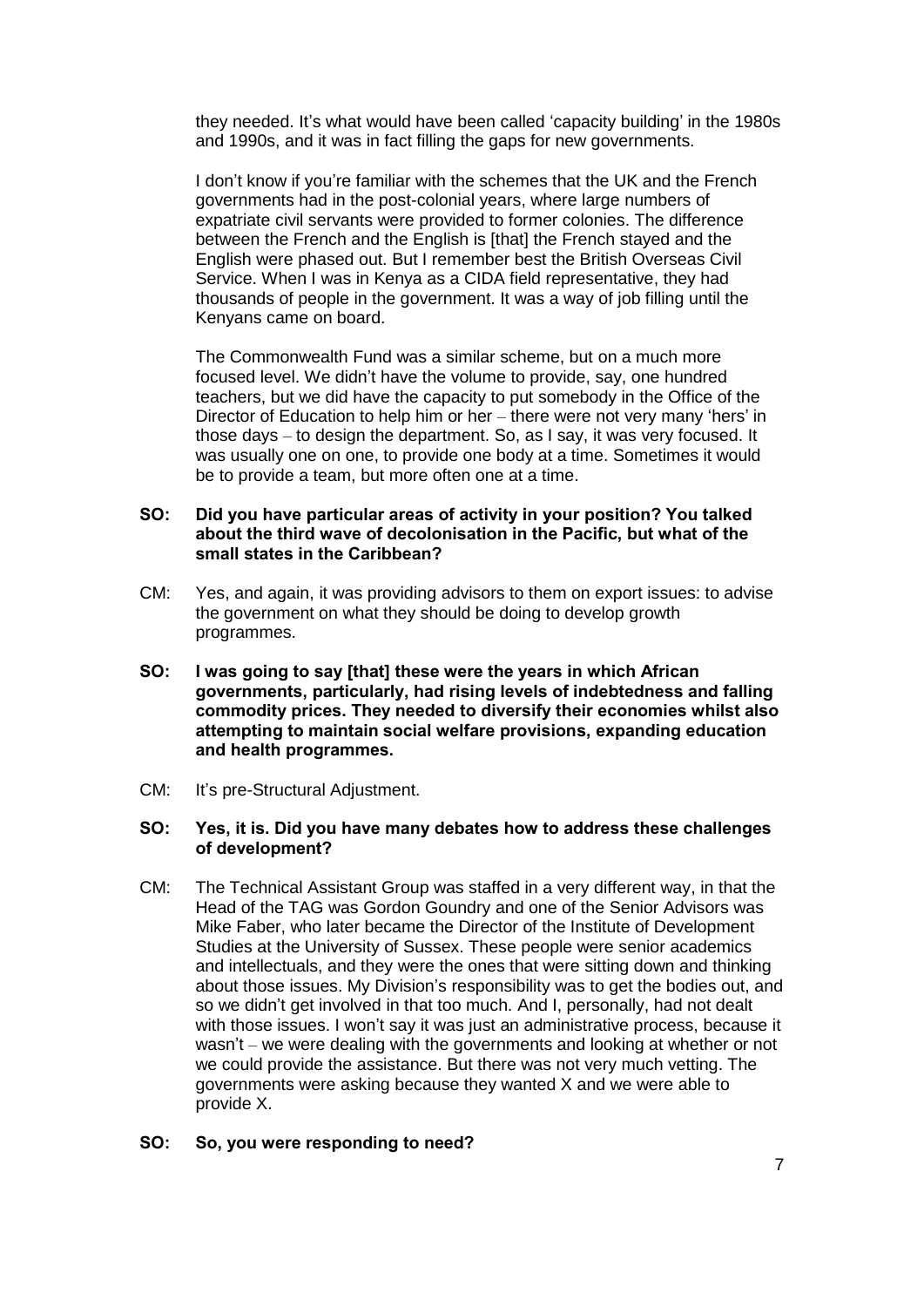they needed. It's what would have been called 'capacity building' in the 1980s and 1990s, and it was in fact filling the gaps for new governments.

I don't know if you're familiar with the schemes that the UK and the French governments had in the post-colonial years, where large numbers of expatriate civil servants were provided to former colonies. The difference between the French and the English is [that] the French stayed and the English were phased out. But I remember best the British Overseas Civil Service. When I was in Kenya as a CIDA field representative, they had thousands of people in the government. It was a way of job filling until the Kenyans came on board.

The Commonwealth Fund was a similar scheme, but on a much more focused level. We didn't have the volume to provide, say, one hundred teachers, but we did have the capacity to put somebody in the Office of the Director of Education to help him or her – there were not very many 'hers' in those days – to design the department. So, as I say, it was very focused. It was usually one on one, to provide one body at a time. Sometimes it would be to provide a team, but more often one at a time.

## **SO: Did you have particular areas of activity in your position? You talked about the third wave of decolonisation in the Pacific, but what of the small states in the Caribbean?**

- CM: Yes, and again, it was providing advisors to them on export issues: to advise the government on what they should be doing to develop growth programmes.
- **SO: I was going to say [that] these were the years in which African governments, particularly, had rising levels of indebtedness and falling commodity prices. They needed to diversify their economies whilst also attempting to maintain social welfare provisions, expanding education and health programmes.**
- CM: It's pre-Structural Adjustment.

#### **SO: Yes, it is. Did you have many debates how to address these challenges of development?**

CM: The Technical Assistant Group was staffed in a very different way, in that the Head of the TAG was Gordon Goundry and one of the Senior Advisors was Mike Faber, who later became the Director of the Institute of Development Studies at the University of Sussex. These people were senior academics and intellectuals, and they were the ones that were sitting down and thinking about those issues. My Division's responsibility was to get the bodies out, and so we didn't get involved in that too much. And I, personally, had not dealt with those issues. I won't say it was just an administrative process, because it wasn't – we were dealing with the governments and looking at whether or not we could provide the assistance. But there was not very much vetting. The governments were asking because they wanted X and we were able to provide X.

#### **SO: So, you were responding to need?**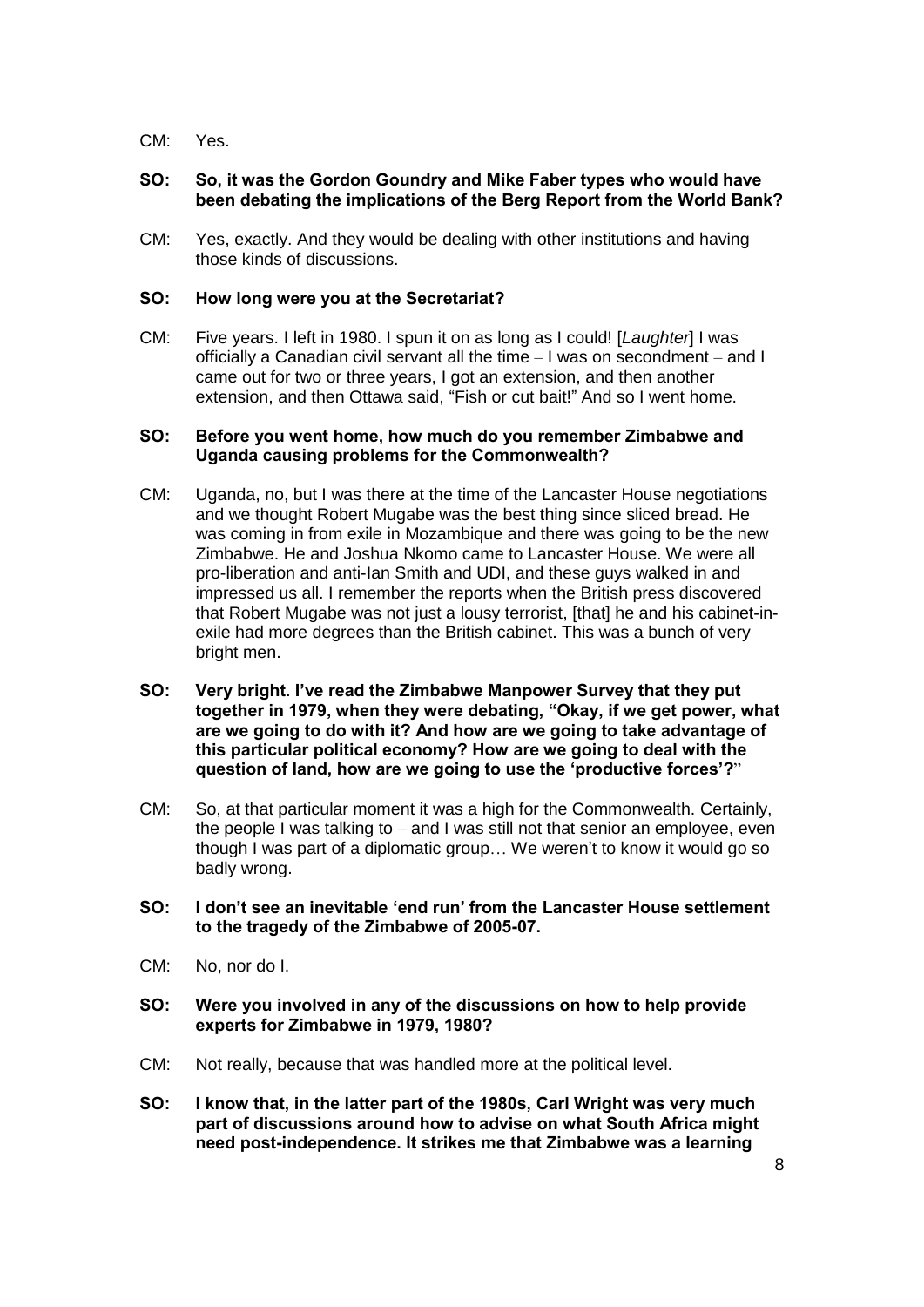CM: Yes.

## **SO: So, it was the Gordon Goundry and Mike Faber types who would have been debating the implications of the Berg Report from the World Bank?**

CM: Yes, exactly. And they would be dealing with other institutions and having those kinds of discussions.

## **SO: How long were you at the Secretariat?**

CM: Five years. I left in 1980. I spun it on as long as I could! [*Laughter*] I was officially a Canadian civil servant all the time – I was on secondment – and I came out for two or three years, I got an extension, and then another extension, and then Ottawa said, "Fish or cut bait!" And so I went home.

#### **SO: Before you went home, how much do you remember Zimbabwe and Uganda causing problems for the Commonwealth?**

- CM: Uganda, no, but I was there at the time of the Lancaster House negotiations and we thought Robert Mugabe was the best thing since sliced bread. He was coming in from exile in Mozambique and there was going to be the new Zimbabwe. He and Joshua Nkomo came to Lancaster House. We were all pro-liberation and anti-Ian Smith and UDI, and these guys walked in and impressed us all. I remember the reports when the British press discovered that Robert Mugabe was not just a lousy terrorist, [that] he and his cabinet-inexile had more degrees than the British cabinet. This was a bunch of very bright men.
- **SO: Very bright. I've read the Zimbabwe Manpower Survey that they put together in 1979, when they were debating, "Okay, if we get power, what are we going to do with it? And how are we going to take advantage of this particular political economy? How are we going to deal with the question of land, how are we going to use the 'productive forces'?**"
- CM: So, at that particular moment it was a high for the Commonwealth. Certainly, the people I was talking to – and I was still not that senior an employee, even though I was part of a diplomatic group… We weren't to know it would go so badly wrong.
- **SO: I don't see an inevitable 'end run' from the Lancaster House settlement to the tragedy of the Zimbabwe of 2005-07.**
- CM: No, nor do I.
- **SO: Were you involved in any of the discussions on how to help provide experts for Zimbabwe in 1979, 1980?**
- CM: Not really, because that was handled more at the political level.
- **SO: I know that, in the latter part of the 1980s, Carl Wright was very much part of discussions around how to advise on what South Africa might need post-independence. It strikes me that Zimbabwe was a learning**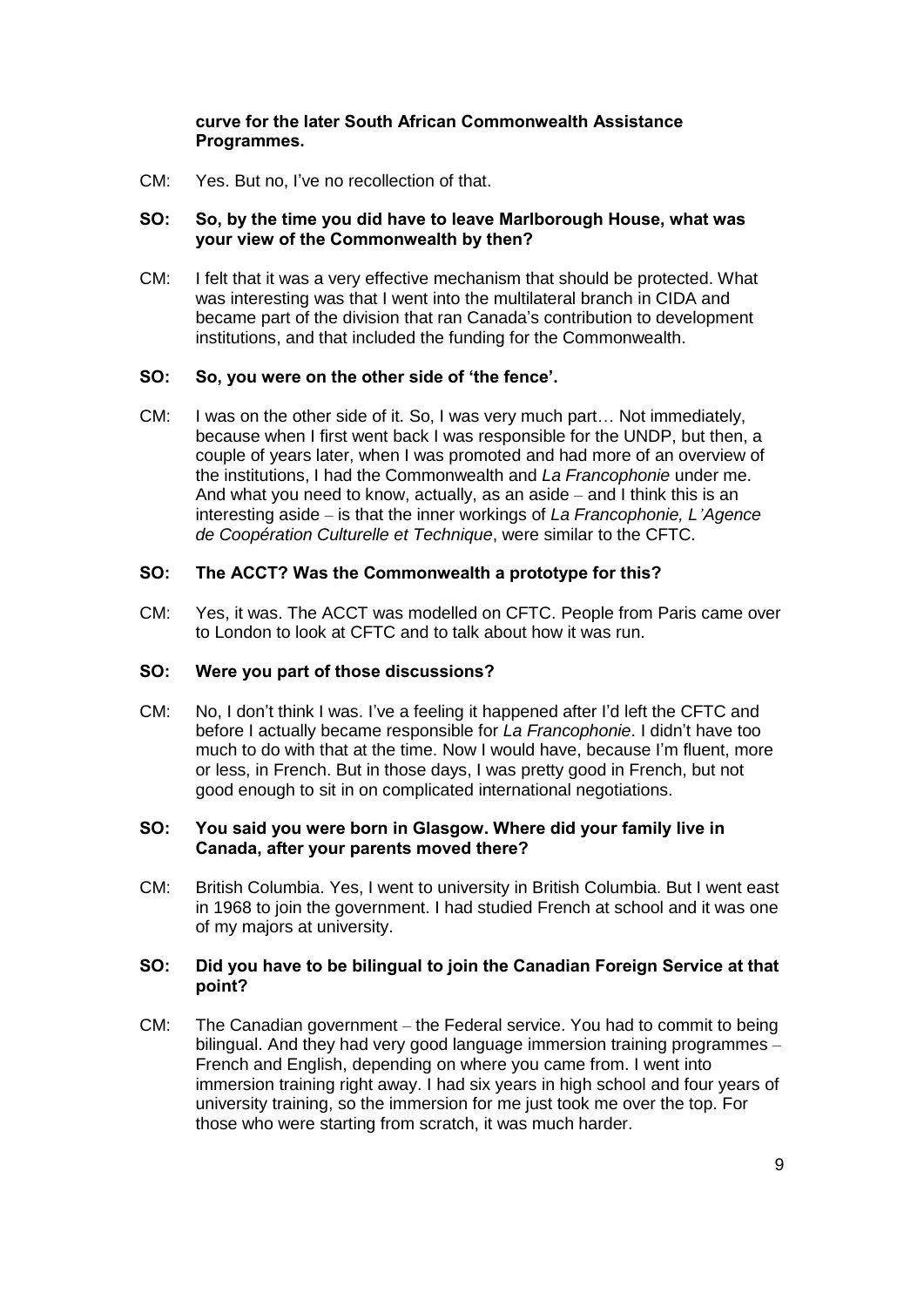## **curve for the later South African Commonwealth Assistance Programmes.**

CM: Yes. But no, I've no recollection of that.

## **SO: So, by the time you did have to leave Marlborough House, what was your view of the Commonwealth by then?**

CM: I felt that it was a very effective mechanism that should be protected. What was interesting was that I went into the multilateral branch in CIDA and became part of the division that ran Canada's contribution to development institutions, and that included the funding for the Commonwealth.

## **SO: So, you were on the other side of 'the fence'.**

CM: I was on the other side of it. So, I was very much part… Not immediately, because when I first went back I was responsible for the UNDP, but then, a couple of years later, when I was promoted and had more of an overview of the institutions, I had the Commonwealth and *La Francophonie* under me. And what you need to know, actually, as an aside – and I think this is an interesting aside – is that the inner workings of *La Francophonie, L'Agence de Coopération Culturelle et Technique*, were similar to the CFTC.

## **SO: The ACCT? Was the Commonwealth a prototype for this?**

CM: Yes, it was. The ACCT was modelled on CFTC. People from Paris came over to London to look at CFTC and to talk about how it was run.

#### **SO: Were you part of those discussions?**

CM: No, I don't think I was. I've a feeling it happened after I'd left the CFTC and before I actually became responsible for *La Francophonie*. I didn't have too much to do with that at the time. Now I would have, because I'm fluent, more or less, in French. But in those days, I was pretty good in French, but not good enough to sit in on complicated international negotiations.

## **SO: You said you were born in Glasgow. Where did your family live in Canada, after your parents moved there?**

CM: British Columbia. Yes, I went to university in British Columbia. But I went east in 1968 to join the government. I had studied French at school and it was one of my majors at university.

## **SO: Did you have to be bilingual to join the Canadian Foreign Service at that point?**

CM: The Canadian government – the Federal service. You had to commit to being bilingual. And they had very good language immersion training programmes – French and English, depending on where you came from. I went into immersion training right away. I had six years in high school and four years of university training, so the immersion for me just took me over the top. For those who were starting from scratch, it was much harder.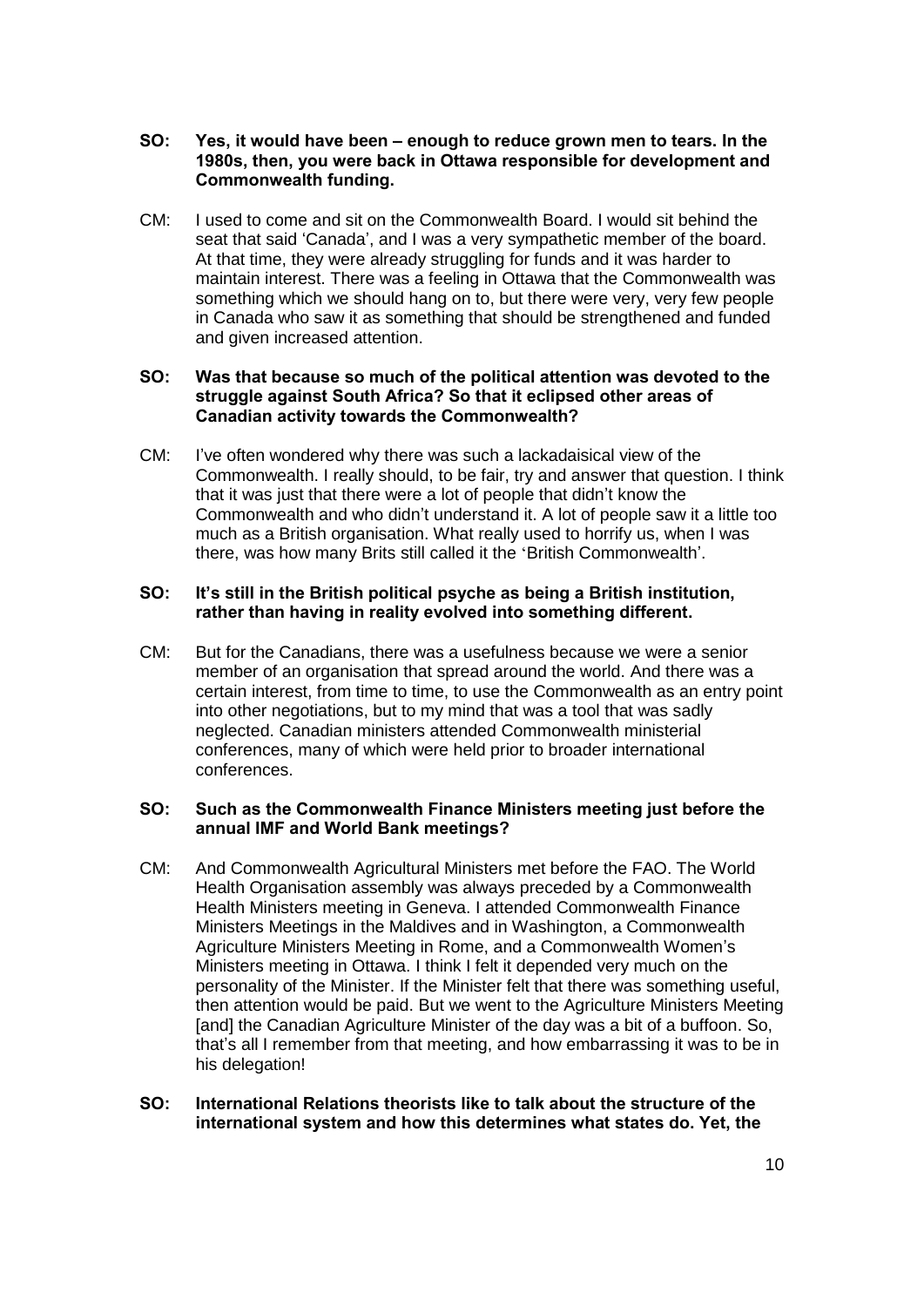## **SO: Yes, it would have been – enough to reduce grown men to tears. In the 1980s, then, you were back in Ottawa responsible for development and Commonwealth funding.**

CM: I used to come and sit on the Commonwealth Board. I would sit behind the seat that said 'Canada', and I was a very sympathetic member of the board. At that time, they were already struggling for funds and it was harder to maintain interest. There was a feeling in Ottawa that the Commonwealth was something which we should hang on to, but there were very, very few people in Canada who saw it as something that should be strengthened and funded and given increased attention.

## **SO: Was that because so much of the political attention was devoted to the struggle against South Africa? So that it eclipsed other areas of Canadian activity towards the Commonwealth?**

CM: I've often wondered why there was such a lackadaisical view of the Commonwealth. I really should, to be fair, try and answer that question. I think that it was just that there were a lot of people that didn't know the Commonwealth and who didn't understand it. A lot of people saw it a little too much as a British organisation. What really used to horrify us, when I was there, was how many Brits still called it the 'British Commonwealth'.

### **SO: It's still in the British political psyche as being a British institution, rather than having in reality evolved into something different.**

CM: But for the Canadians, there was a usefulness because we were a senior member of an organisation that spread around the world. And there was a certain interest, from time to time, to use the Commonwealth as an entry point into other negotiations, but to my mind that was a tool that was sadly neglected. Canadian ministers attended Commonwealth ministerial conferences, many of which were held prior to broader international conferences.

## **SO: Such as the Commonwealth Finance Ministers meeting just before the annual IMF and World Bank meetings?**

CM: And Commonwealth Agricultural Ministers met before the FAO. The World Health Organisation assembly was always preceded by a Commonwealth Health Ministers meeting in Geneva. I attended Commonwealth Finance Ministers Meetings in the Maldives and in Washington, a Commonwealth Agriculture Ministers Meeting in Rome, and a Commonwealth Women's Ministers meeting in Ottawa. I think I felt it depended very much on the personality of the Minister. If the Minister felt that there was something useful, then attention would be paid. But we went to the Agriculture Ministers Meeting [and] the Canadian Agriculture Minister of the day was a bit of a buffoon. So, that's all I remember from that meeting, and how embarrassing it was to be in his delegation!

## **SO: International Relations theorists like to talk about the structure of the international system and how this determines what states do. Yet, the**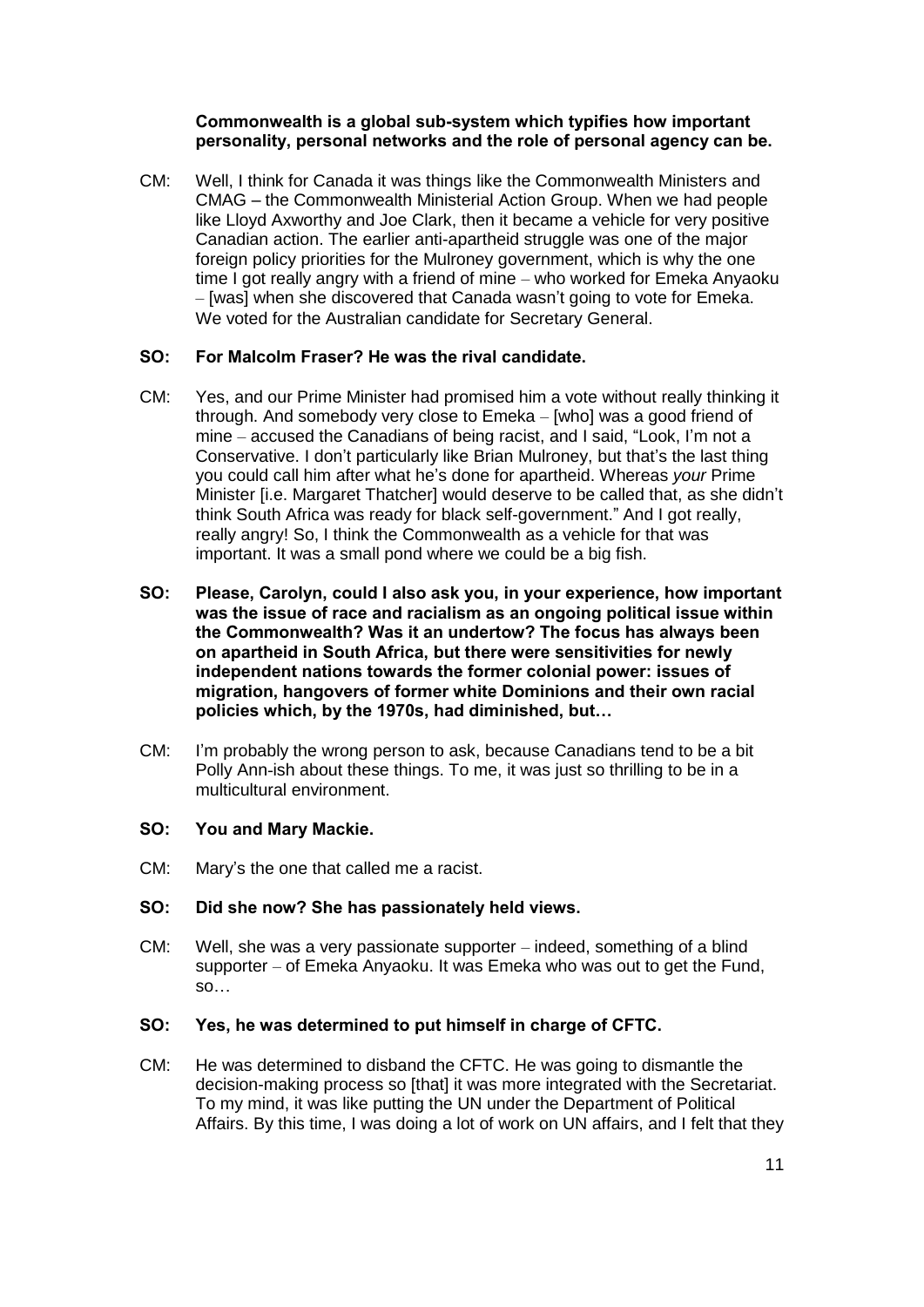## **Commonwealth is a global sub-system which typifies how important personality, personal networks and the role of personal agency can be.**

CM: Well, I think for Canada it was things like the Commonwealth Ministers and CMAG – the Commonwealth Ministerial Action Group. When we had people like Lloyd Axworthy and Joe Clark, then it became a vehicle for very positive Canadian action. The earlier anti-apartheid struggle was one of the major foreign policy priorities for the Mulroney government, which is why the one time I got really angry with a friend of mine – who worked for Emeka Anyaoku – [was] when she discovered that Canada wasn't going to vote for Emeka. We voted for the Australian candidate for Secretary General.

## **SO: For Malcolm Fraser? He was the rival candidate.**

- CM: Yes, and our Prime Minister had promised him a vote without really thinking it through. And somebody very close to Emeka – [who] was a good friend of mine – accused the Canadians of being racist, and I said, "Look, I'm not a Conservative. I don't particularly like Brian Mulroney, but that's the last thing you could call him after what he's done for apartheid. Whereas *your* Prime Minister [i.e. Margaret Thatcher] would deserve to be called that, as she didn't think South Africa was ready for black self-government." And I got really, really angry! So, I think the Commonwealth as a vehicle for that was important. It was a small pond where we could be a big fish.
- **SO: Please, Carolyn, could I also ask you, in your experience, how important was the issue of race and racialism as an ongoing political issue within the Commonwealth? Was it an undertow? The focus has always been on apartheid in South Africa, but there were sensitivities for newly independent nations towards the former colonial power: issues of migration, hangovers of former white Dominions and their own racial policies which, by the 1970s, had diminished, but…**
- CM: I'm probably the wrong person to ask, because Canadians tend to be a bit Polly Ann-ish about these things. To me, it was just so thrilling to be in a multicultural environment.

#### **SO: You and Mary Mackie.**

CM: Mary's the one that called me a racist.

## **SO: Did she now? She has passionately held views.**

CM: Well, she was a very passionate supporter – indeed, something of a blind supporter – of Emeka Anyaoku. It was Emeka who was out to get the Fund, so…

#### **SO: Yes, he was determined to put himself in charge of CFTC.**

CM: He was determined to disband the CFTC. He was going to dismantle the decision-making process so [that] it was more integrated with the Secretariat. To my mind, it was like putting the UN under the Department of Political Affairs. By this time, I was doing a lot of work on UN affairs, and I felt that they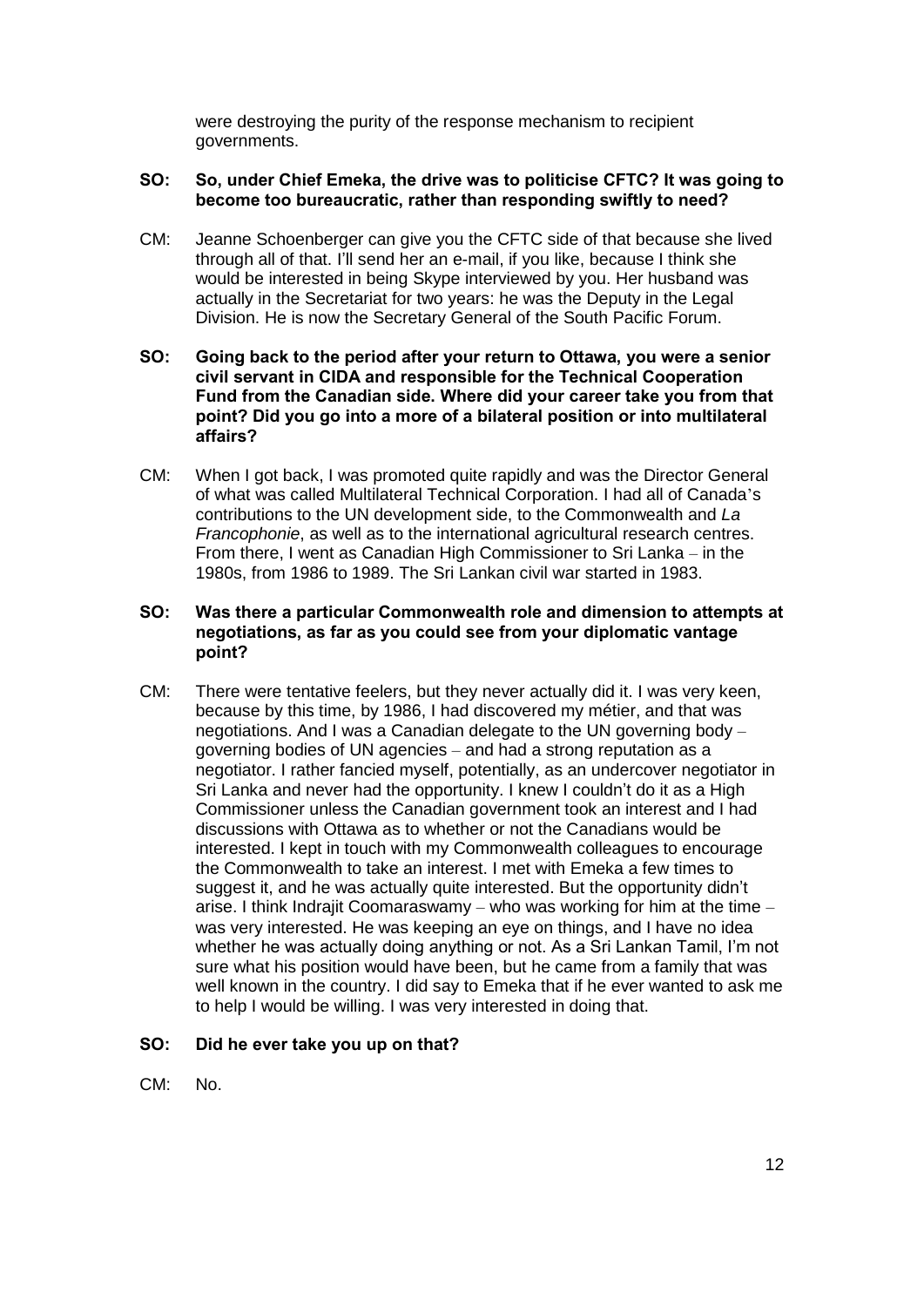were destroying the purity of the response mechanism to recipient governments.

## **SO: So, under Chief Emeka, the drive was to politicise CFTC? It was going to become too bureaucratic, rather than responding swiftly to need?**

CM: Jeanne Schoenberger can give you the CFTC side of that because she lived through all of that. I'll send her an e-mail, if you like, because I think she would be interested in being Skype interviewed by you. Her husband was actually in the Secretariat for two years: he was the Deputy in the Legal Division. He is now the Secretary General of the South Pacific Forum.

## **SO: Going back to the period after your return to Ottawa, you were a senior civil servant in CIDA and responsible for the Technical Cooperation Fund from the Canadian side. Where did your career take you from that point? Did you go into a more of a bilateral position or into multilateral affairs?**

CM: When I got back, I was promoted quite rapidly and was the Director General of what was called Multilateral Technical Corporation. I had all of Canada's contributions to the UN development side, to the Commonwealth and *La Francophonie*, as well as to the international agricultural research centres. From there, I went as Canadian High Commissioner to Sri Lanka – in the 1980s, from 1986 to 1989. The Sri Lankan civil war started in 1983.

## **SO: Was there a particular Commonwealth role and dimension to attempts at negotiations, as far as you could see from your diplomatic vantage point?**

CM: There were tentative feelers, but they never actually did it. I was very keen, because by this time, by 1986, I had discovered my métier, and that was negotiations. And I was a Canadian delegate to the UN governing body – governing bodies of UN agencies – and had a strong reputation as a negotiator. I rather fancied myself, potentially, as an undercover negotiator in Sri Lanka and never had the opportunity. I knew I couldn't do it as a High Commissioner unless the Canadian government took an interest and I had discussions with Ottawa as to whether or not the Canadians would be interested. I kept in touch with my Commonwealth colleagues to encourage the Commonwealth to take an interest. I met with Emeka a few times to suggest it, and he was actually quite interested. But the opportunity didn't arise. I think Indrajit Coomaraswamy – who was working for him at the time – was very interested. He was keeping an eye on things, and I have no idea whether he was actually doing anything or not. As a Sri Lankan Tamil, I'm not sure what his position would have been, but he came from a family that was well known in the country. I did say to Emeka that if he ever wanted to ask me to help I would be willing. I was very interested in doing that.

## **SO: Did he ever take you up on that?**

CM: No.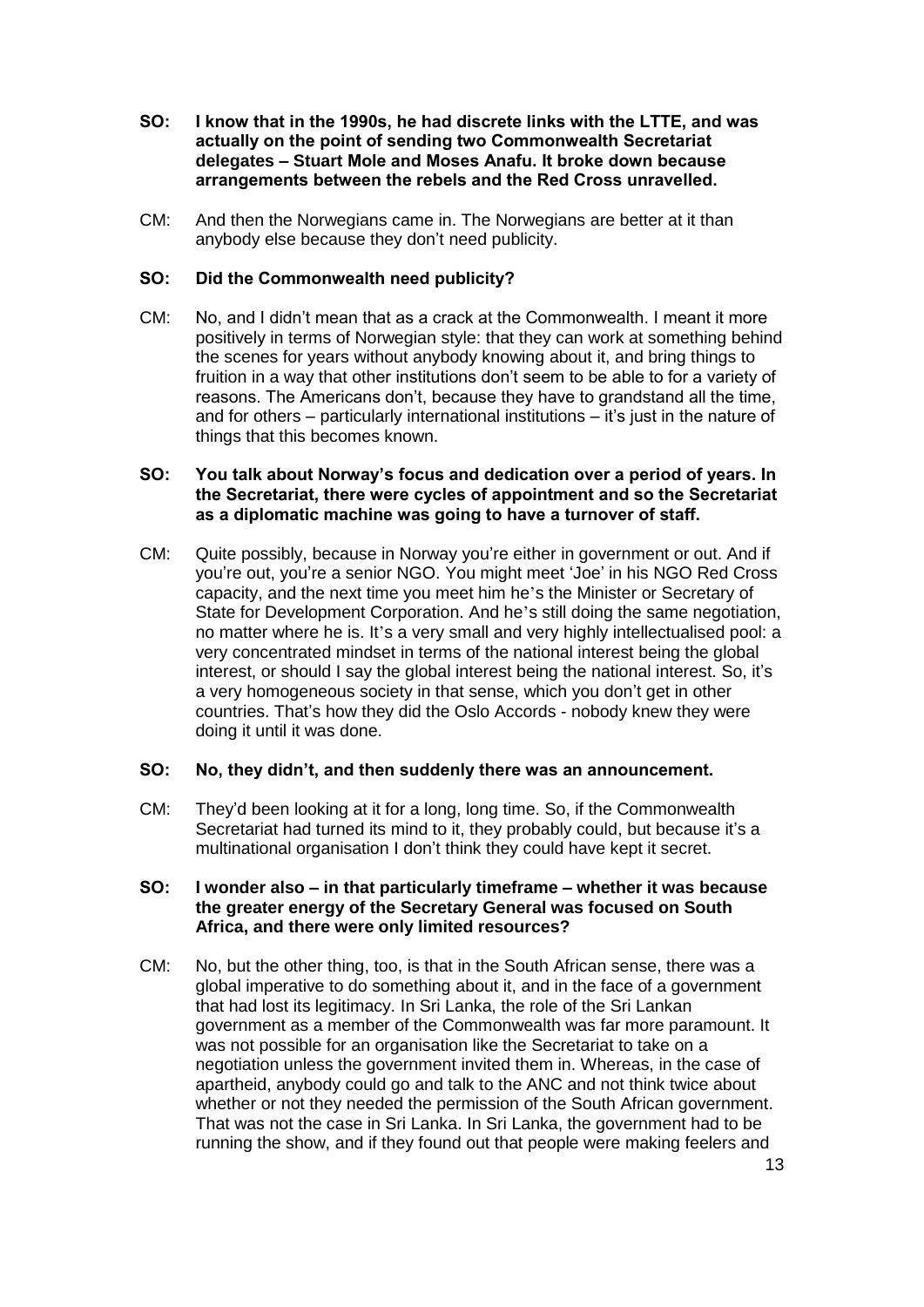- **SO: I know that in the 1990s, he had discrete links with the LTTE, and was actually on the point of sending two Commonwealth Secretariat delegates – Stuart Mole and Moses Anafu. It broke down because arrangements between the rebels and the Red Cross unravelled.**
- CM: And then the Norwegians came in. The Norwegians are better at it than anybody else because they don't need publicity.

## **SO: Did the Commonwealth need publicity?**

CM: No, and I didn't mean that as a crack at the Commonwealth. I meant it more positively in terms of Norwegian style: that they can work at something behind the scenes for years without anybody knowing about it, and bring things to fruition in a way that other institutions don't seem to be able to for a variety of reasons. The Americans don't, because they have to grandstand all the time, and for others – particularly international institutions – it's just in the nature of things that this becomes known.

## **SO: You talk about Norway's focus and dedication over a period of years. In the Secretariat, there were cycles of appointment and so the Secretariat as a diplomatic machine was going to have a turnover of staff.**

CM: Quite possibly, because in Norway you're either in government or out. And if you're out, you're a senior NGO. You might meet 'Joe' in his NGO Red Cross capacity, and the next time you meet him he's the Minister or Secretary of State for Development Corporation. And he's still doing the same negotiation, no matter where he is. It's a very small and very highly intellectualised pool: a very concentrated mindset in terms of the national interest being the global interest, or should I say the global interest being the national interest. So, it's a very homogeneous society in that sense, which you don't get in other countries. That's how they did the Oslo Accords - nobody knew they were doing it until it was done.

#### **SO: No, they didn't, and then suddenly there was an announcement.**

CM: They'd been looking at it for a long, long time. So, if the Commonwealth Secretariat had turned its mind to it, they probably could, but because it's a multinational organisation I don't think they could have kept it secret.

### **SO: I wonder also – in that particularly timeframe – whether it was because the greater energy of the Secretary General was focused on South Africa, and there were only limited resources?**

CM: No, but the other thing, too, is that in the South African sense, there was a global imperative to do something about it, and in the face of a government that had lost its legitimacy. In Sri Lanka, the role of the Sri Lankan government as a member of the Commonwealth was far more paramount. It was not possible for an organisation like the Secretariat to take on a negotiation unless the government invited them in. Whereas, in the case of apartheid, anybody could go and talk to the ANC and not think twice about whether or not they needed the permission of the South African government. That was not the case in Sri Lanka. In Sri Lanka, the government had to be running the show, and if they found out that people were making feelers and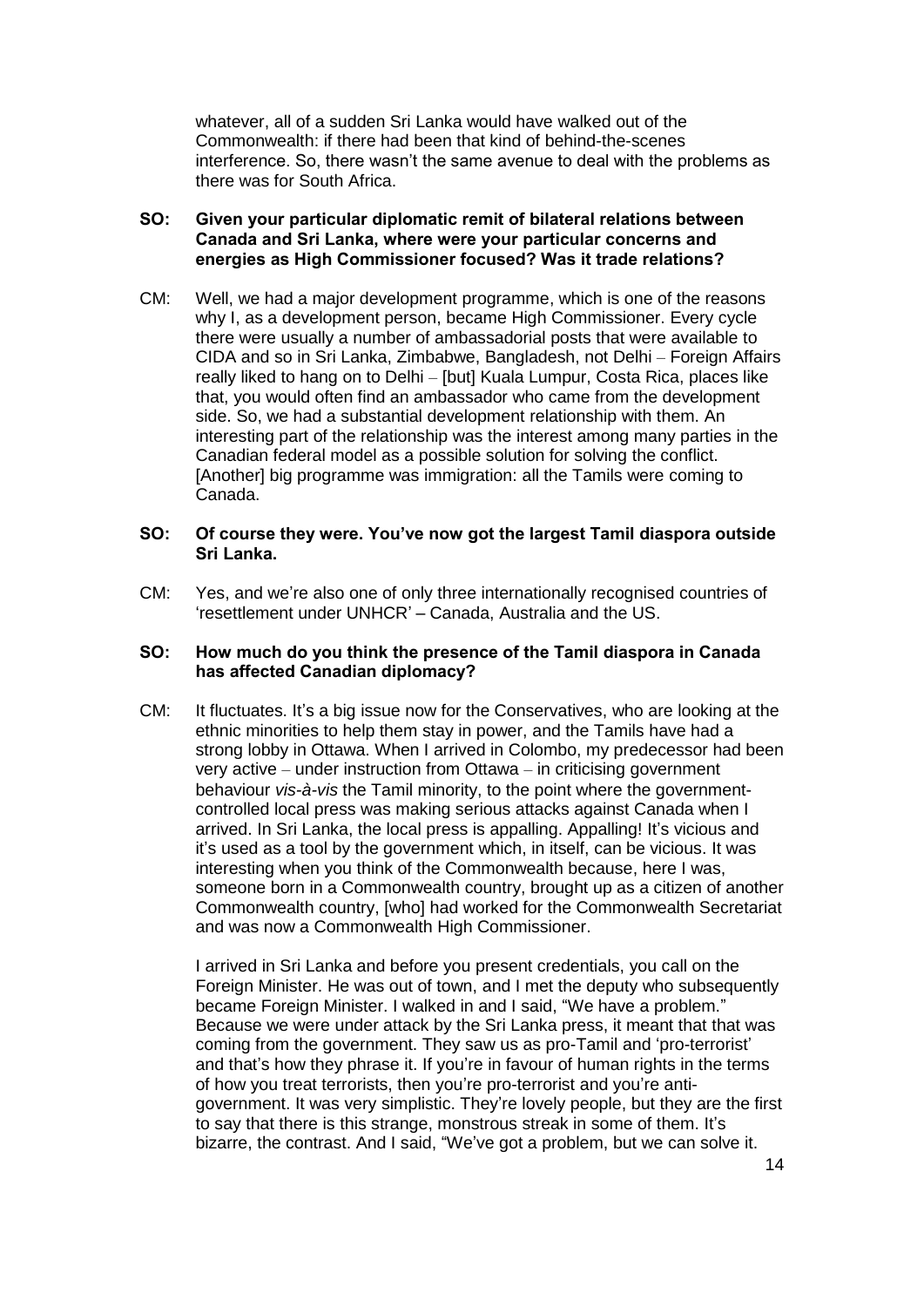whatever, all of a sudden Sri Lanka would have walked out of the Commonwealth: if there had been that kind of behind-the-scenes interference. So, there wasn't the same avenue to deal with the problems as there was for South Africa.

## **SO: Given your particular diplomatic remit of bilateral relations between Canada and Sri Lanka, where were your particular concerns and energies as High Commissioner focused? Was it trade relations?**

CM: Well, we had a major development programme, which is one of the reasons why I, as a development person, became High Commissioner. Every cycle there were usually a number of ambassadorial posts that were available to CIDA and so in Sri Lanka, Zimbabwe, Bangladesh, not Delhi – Foreign Affairs really liked to hang on to Delhi – [but] Kuala Lumpur, Costa Rica, places like that, you would often find an ambassador who came from the development side. So, we had a substantial development relationship with them. An interesting part of the relationship was the interest among many parties in the Canadian federal model as a possible solution for solving the conflict. [Another] big programme was immigration: all the Tamils were coming to Canada.

## **SO: Of course they were. You've now got the largest Tamil diaspora outside Sri Lanka.**

CM: Yes, and we're also one of only three internationally recognised countries of 'resettlement under UNHCR' – Canada, Australia and the US.

## **SO: How much do you think the presence of the Tamil diaspora in Canada has affected Canadian diplomacy?**

CM: It fluctuates. It's a big issue now for the Conservatives, who are looking at the ethnic minorities to help them stay in power, and the Tamils have had a strong lobby in Ottawa. When I arrived in Colombo, my predecessor had been very active – under instruction from Ottawa – in criticising government behaviour *vis-à-vis* the Tamil minority, to the point where the governmentcontrolled local press was making serious attacks against Canada when I arrived. In Sri Lanka, the local press is appalling. Appalling! It's vicious and it's used as a tool by the government which, in itself, can be vicious. It was interesting when you think of the Commonwealth because, here I was, someone born in a Commonwealth country, brought up as a citizen of another Commonwealth country, [who] had worked for the Commonwealth Secretariat and was now a Commonwealth High Commissioner.

I arrived in Sri Lanka and before you present credentials, you call on the Foreign Minister. He was out of town, and I met the deputy who subsequently became Foreign Minister. I walked in and I said, "We have a problem." Because we were under attack by the Sri Lanka press, it meant that that was coming from the government. They saw us as pro-Tamil and 'pro-terrorist' and that's how they phrase it. If you're in favour of human rights in the terms of how you treat terrorists, then you're pro-terrorist and you're antigovernment. It was very simplistic. They're lovely people, but they are the first to say that there is this strange, monstrous streak in some of them. It's bizarre, the contrast. And I said, "We've got a problem, but we can solve it.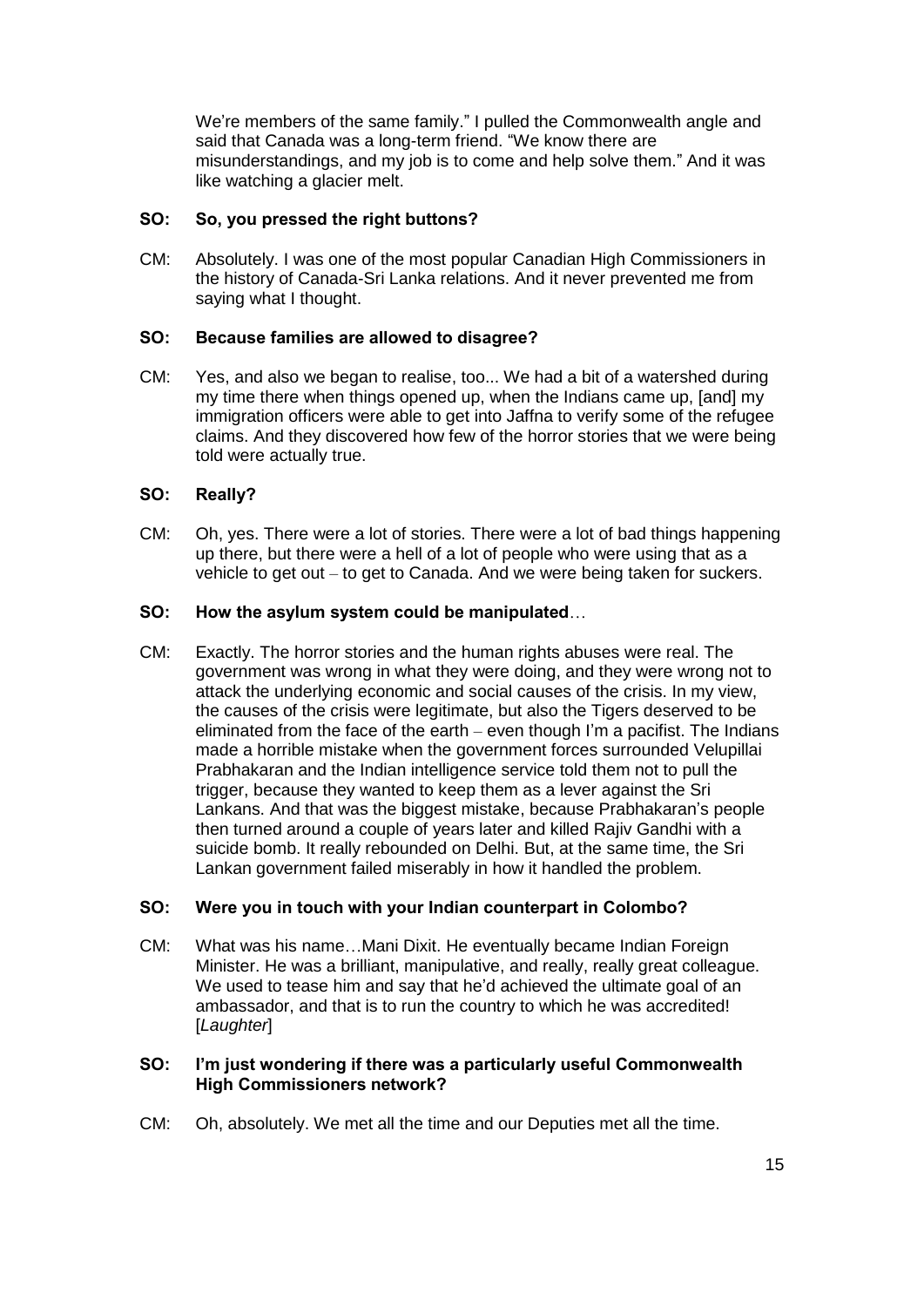We're members of the same family." I pulled the Commonwealth angle and said that Canada was a long-term friend. "We know there are misunderstandings, and my job is to come and help solve them." And it was like watching a glacier melt.

## **SO: So, you pressed the right buttons?**

CM: Absolutely. I was one of the most popular Canadian High Commissioners in the history of Canada-Sri Lanka relations. And it never prevented me from saying what I thought.

## **SO: Because families are allowed to disagree?**

CM: Yes, and also we began to realise, too... We had a bit of a watershed during my time there when things opened up, when the Indians came up, [and] my immigration officers were able to get into Jaffna to verify some of the refugee claims. And they discovered how few of the horror stories that we were being told were actually true.

## **SO: Really?**

CM: Oh, yes. There were a lot of stories. There were a lot of bad things happening up there, but there were a hell of a lot of people who were using that as a vehicle to get out – to get to Canada. And we were being taken for suckers.

## **SO: How the asylum system could be manipulated**…

CM: Exactly. The horror stories and the human rights abuses were real. The government was wrong in what they were doing, and they were wrong not to attack the underlying economic and social causes of the crisis. In my view, the causes of the crisis were legitimate, but also the Tigers deserved to be eliminated from the face of the earth – even though I'm a pacifist. The Indians made a horrible mistake when the government forces surrounded Velupillai Prabhakaran and the Indian intelligence service told them not to pull the trigger, because they wanted to keep them as a lever against the Sri Lankans. And that was the biggest mistake, because Prabhakaran's people then turned around a couple of years later and killed Rajiv Gandhi with a suicide bomb. It really rebounded on Delhi. But, at the same time, the Sri Lankan government failed miserably in how it handled the problem.

## **SO: Were you in touch with your Indian counterpart in Colombo?**

CM: What was his name…Mani Dixit. He eventually became Indian Foreign Minister. He was a brilliant, manipulative, and really, really great colleague. We used to tease him and say that he'd achieved the ultimate goal of an ambassador, and that is to run the country to which he was accredited! [*Laughter*]

## **SO: I'm just wondering if there was a particularly useful Commonwealth High Commissioners network?**

CM: Oh, absolutely. We met all the time and our Deputies met all the time.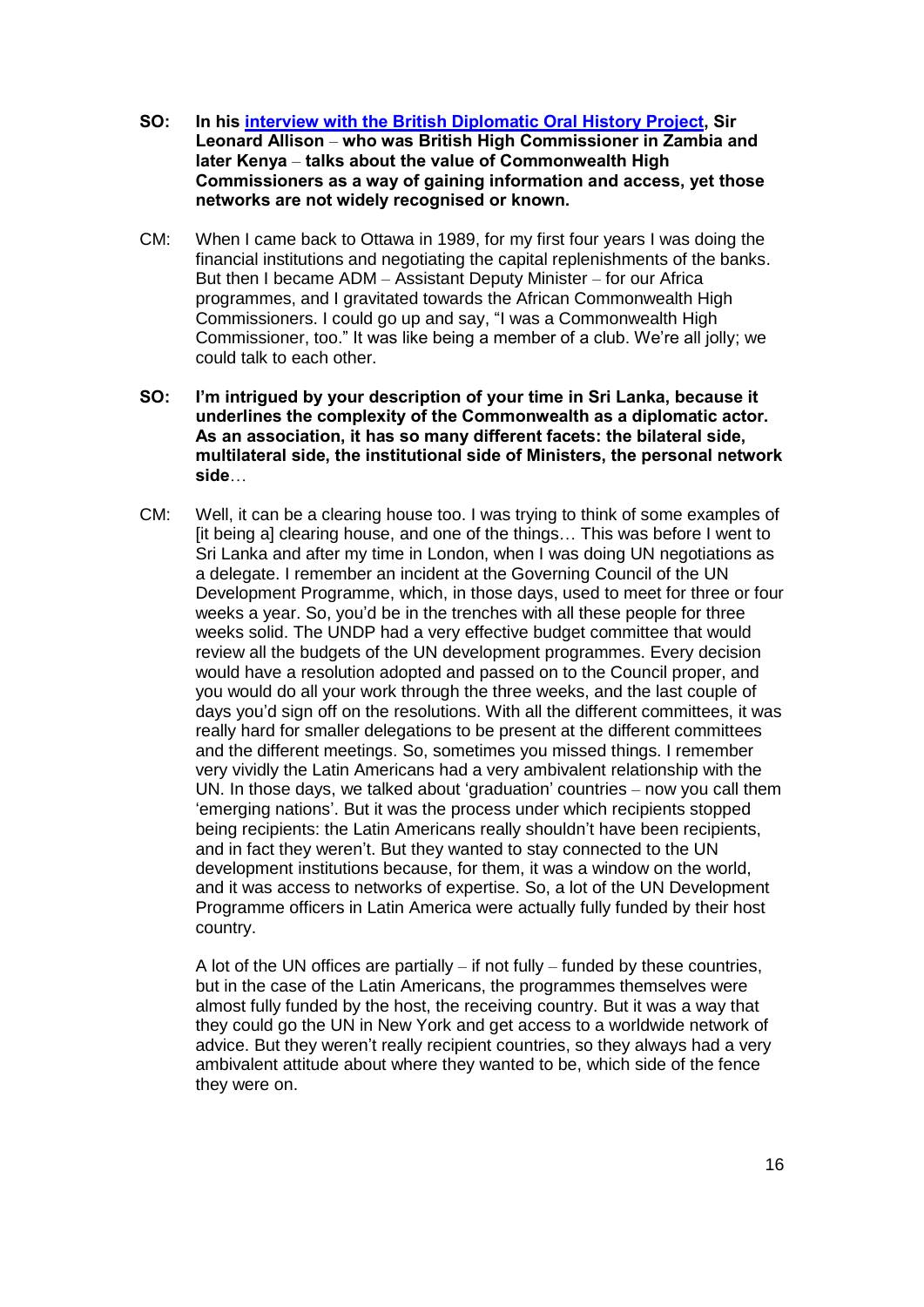- **SO: In his [interview with the British Diplomatic Oral History Project,](https://www.chu.cam.ac.uk/media/uploads/files/Allinson.pdf) Sir Leonard Allison** – **who was British High Commissioner in Zambia and later Kenya** – **talks about the value of Commonwealth High Commissioners as a way of gaining information and access, yet those networks are not widely recognised or known.**
- CM: When I came back to Ottawa in 1989, for my first four years I was doing the financial institutions and negotiating the capital replenishments of the banks. But then I became ADM – Assistant Deputy Minister – for our Africa programmes, and I gravitated towards the African Commonwealth High Commissioners. I could go up and say, "I was a Commonwealth High Commissioner, too." It was like being a member of a club. We're all jolly; we could talk to each other.
- **SO: I'm intrigued by your description of your time in Sri Lanka, because it underlines the complexity of the Commonwealth as a diplomatic actor. As an association, it has so many different facets: the bilateral side, multilateral side, the institutional side of Ministers, the personal network side**…
- CM: Well, it can be a clearing house too. I was trying to think of some examples of [it being a] clearing house, and one of the things… This was before I went to Sri Lanka and after my time in London, when I was doing UN negotiations as a delegate. I remember an incident at the Governing Council of the UN Development Programme, which, in those days, used to meet for three or four weeks a year. So, you'd be in the trenches with all these people for three weeks solid. The UNDP had a very effective budget committee that would review all the budgets of the UN development programmes. Every decision would have a resolution adopted and passed on to the Council proper, and you would do all your work through the three weeks, and the last couple of days you'd sign off on the resolutions. With all the different committees, it was really hard for smaller delegations to be present at the different committees and the different meetings. So, sometimes you missed things. I remember very vividly the Latin Americans had a very ambivalent relationship with the UN. In those days, we talked about 'graduation' countries – now you call them 'emerging nations'. But it was the process under which recipients stopped being recipients: the Latin Americans really shouldn't have been recipients, and in fact they weren't. But they wanted to stay connected to the UN development institutions because, for them, it was a window on the world, and it was access to networks of expertise. So, a lot of the UN Development Programme officers in Latin America were actually fully funded by their host country.

A lot of the UN offices are partially  $-$  if not fully  $-$  funded by these countries, but in the case of the Latin Americans, the programmes themselves were almost fully funded by the host, the receiving country. But it was a way that they could go the UN in New York and get access to a worldwide network of advice. But they weren't really recipient countries, so they always had a very ambivalent attitude about where they wanted to be, which side of the fence they were on.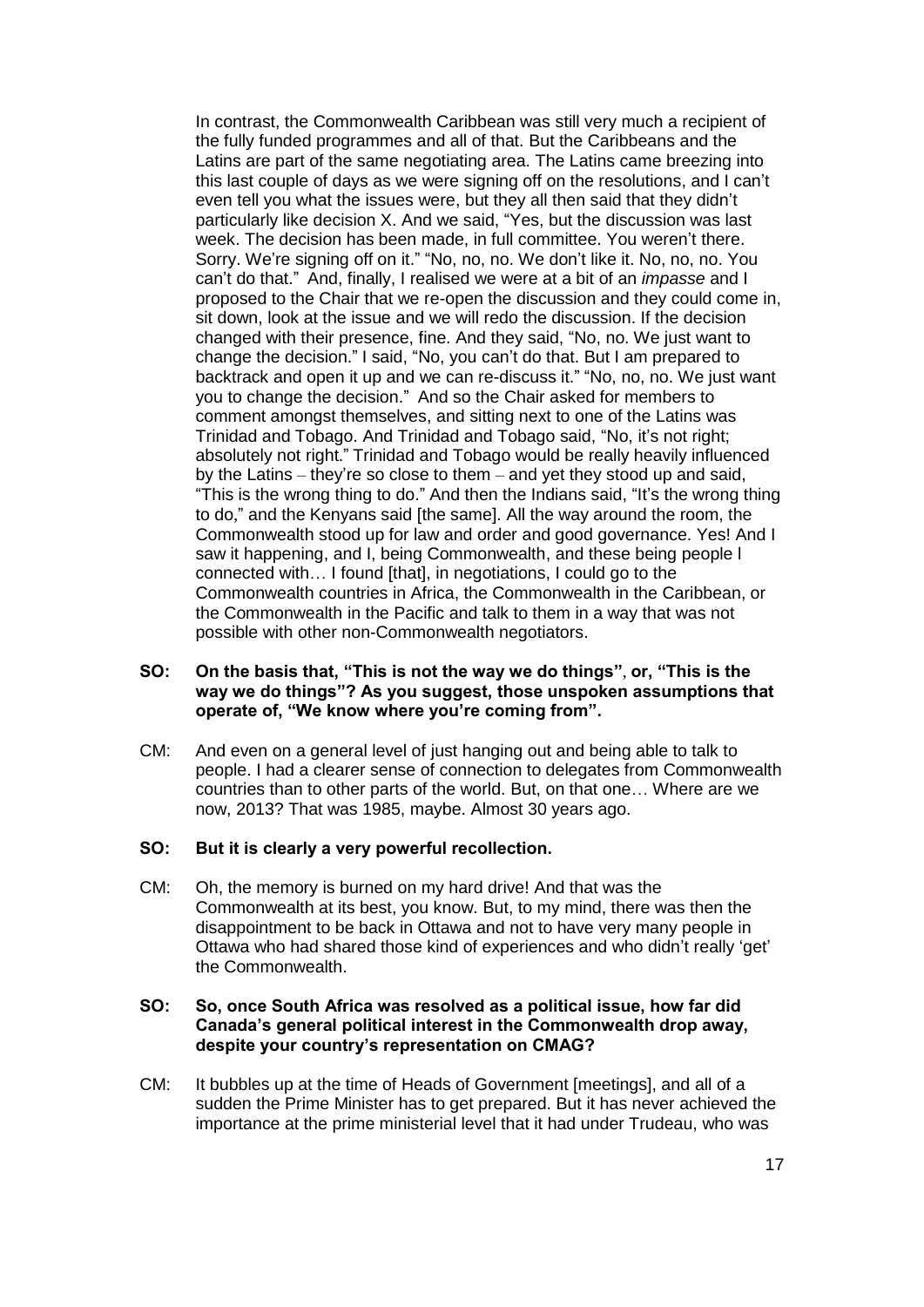In contrast, the Commonwealth Caribbean was still very much a recipient of the fully funded programmes and all of that. But the Caribbeans and the Latins are part of the same negotiating area. The Latins came breezing into this last couple of days as we were signing off on the resolutions, and I can't even tell you what the issues were, but they all then said that they didn't particularly like decision X. And we said, "Yes, but the discussion was last week. The decision has been made, in full committee. You weren't there. Sorry. We're signing off on it." "No, no, no. We don't like it. No, no, no. You can't do that." And, finally, I realised we were at a bit of an *impasse* and I proposed to the Chair that we re-open the discussion and they could come in, sit down, look at the issue and we will redo the discussion. If the decision changed with their presence, fine. And they said, "No, no. We just want to change the decision." I said, "No, you can't do that. But I am prepared to backtrack and open it up and we can re-discuss it." "No, no, no. We just want you to change the decision." And so the Chair asked for members to comment amongst themselves, and sitting next to one of the Latins was Trinidad and Tobago. And Trinidad and Tobago said, "No, it's not right; absolutely not right." Trinidad and Tobago would be really heavily influenced by the Latins – they're so close to them – and yet they stood up and said, "This is the wrong thing to do." And then the Indians said, "It's the wrong thing to do," and the Kenyans said [the same]. All the way around the room, the Commonwealth stood up for law and order and good governance. Yes! And I saw it happening, and I, being Commonwealth, and these being people l connected with… I found [that], in negotiations, I could go to the Commonwealth countries in Africa, the Commonwealth in the Caribbean, or the Commonwealth in the Pacific and talk to them in a way that was not possible with other non-Commonwealth negotiators.

## **SO: On the basis that, "This is not the way we do things"**, **or, "This is the way we do things"? As you suggest, those unspoken assumptions that operate of, "We know where you're coming from".**

CM: And even on a general level of just hanging out and being able to talk to people. I had a clearer sense of connection to delegates from Commonwealth countries than to other parts of the world. But, on that one… Where are we now, 2013? That was 1985, maybe. Almost 30 years ago.

## **SO: But it is clearly a very powerful recollection.**

CM: Oh, the memory is burned on my hard drive! And that was the Commonwealth at its best, you know. But, to my mind, there was then the disappointment to be back in Ottawa and not to have very many people in Ottawa who had shared those kind of experiences and who didn't really 'get' the Commonwealth.

### **SO: So, once South Africa was resolved as a political issue, how far did Canada's general political interest in the Commonwealth drop away, despite your country's representation on CMAG?**

CM: It bubbles up at the time of Heads of Government [meetings], and all of a sudden the Prime Minister has to get prepared. But it has never achieved the importance at the prime ministerial level that it had under Trudeau, who was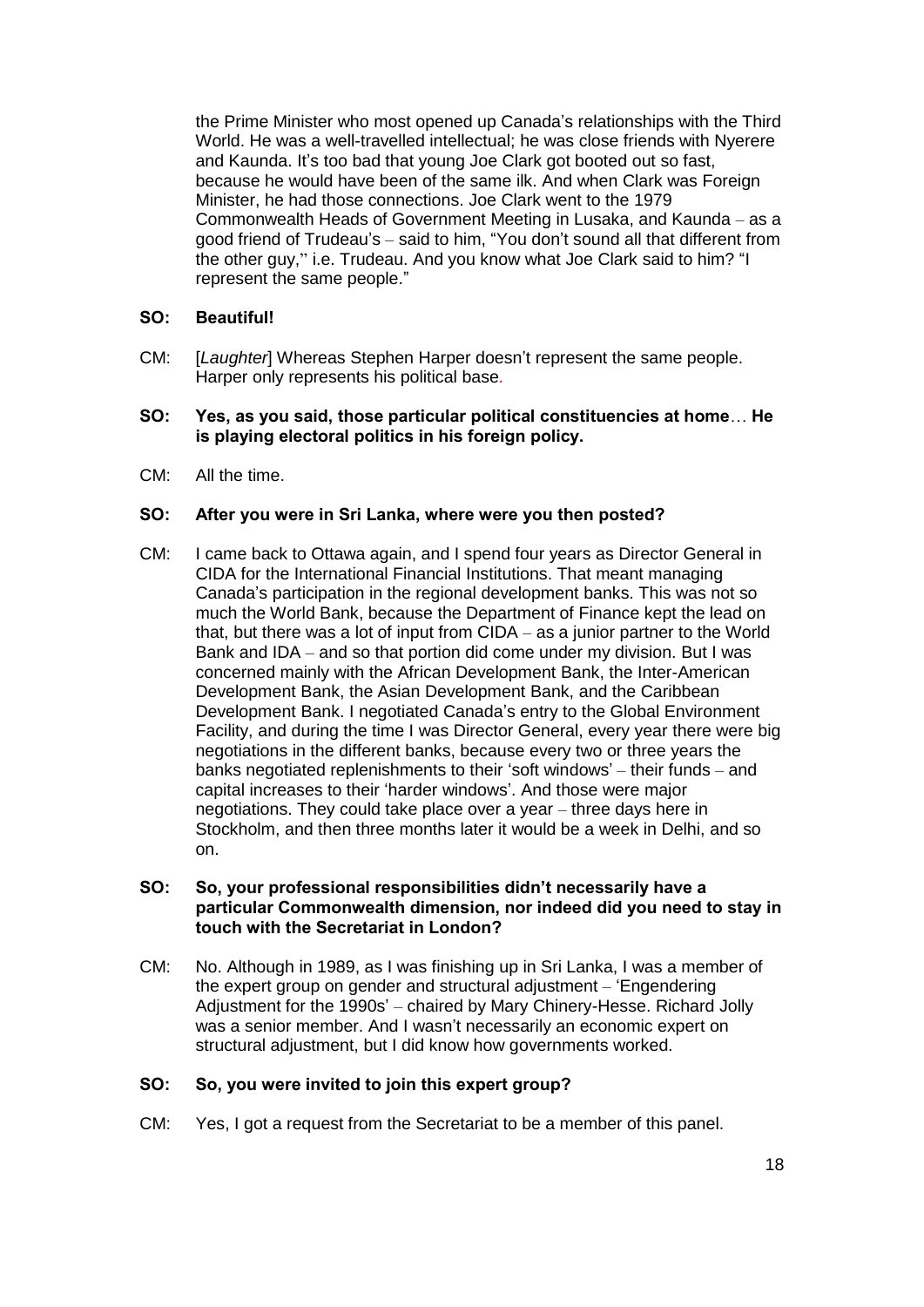the Prime Minister who most opened up Canada's relationships with the Third World. He was a well-travelled intellectual; he was close friends with Nyerere and Kaunda. It's too bad that young Joe Clark got booted out so fast, because he would have been of the same ilk. And when Clark was Foreign Minister, he had those connections. Joe Clark went to the 1979 Commonwealth Heads of Government Meeting in Lusaka, and Kaunda – as a good friend of Trudeau's – said to him, "You don't sound all that different from the other guy," i.e. Trudeau. And you know what Joe Clark said to him? "I represent the same people."

## **SO: Beautiful!**

CM: [*Laughter*] Whereas Stephen Harper doesn't represent the same people. Harper only represents his political base*.* 

## **SO: Yes, as you said, those particular political constituencies at home**… **He is playing electoral politics in his foreign policy.**

CM: All the time.

## **SO: After you were in Sri Lanka, where were you then posted?**

CM: I came back to Ottawa again, and I spend four years as Director General in CIDA for the International Financial Institutions. That meant managing Canada's participation in the regional development banks. This was not so much the World Bank, because the Department of Finance kept the lead on that, but there was a lot of input from CIDA – as a junior partner to the World Bank and IDA – and so that portion did come under my division. But I was concerned mainly with the African Development Bank, the Inter-American Development Bank, the Asian Development Bank, and the Caribbean Development Bank. I negotiated Canada's entry to the Global Environment Facility, and during the time I was Director General, every year there were big negotiations in the different banks, because every two or three years the banks negotiated replenishments to their 'soft windows' – their funds – and capital increases to their 'harder windows'. And those were major negotiations. They could take place over a year – three days here in Stockholm, and then three months later it would be a week in Delhi, and so on.

### **SO: So, your professional responsibilities didn't necessarily have a particular Commonwealth dimension, nor indeed did you need to stay in touch with the Secretariat in London?**

CM: No. Although in 1989, as I was finishing up in Sri Lanka, I was a member of the expert group on gender and structural adjustment – 'Engendering Adjustment for the 1990s' – chaired by Mary Chinery-Hesse. Richard Jolly was a senior member. And I wasn't necessarily an economic expert on structural adjustment, but I did know how governments worked.

#### **SO: So, you were invited to join this expert group?**

CM: Yes, I got a request from the Secretariat to be a member of this panel.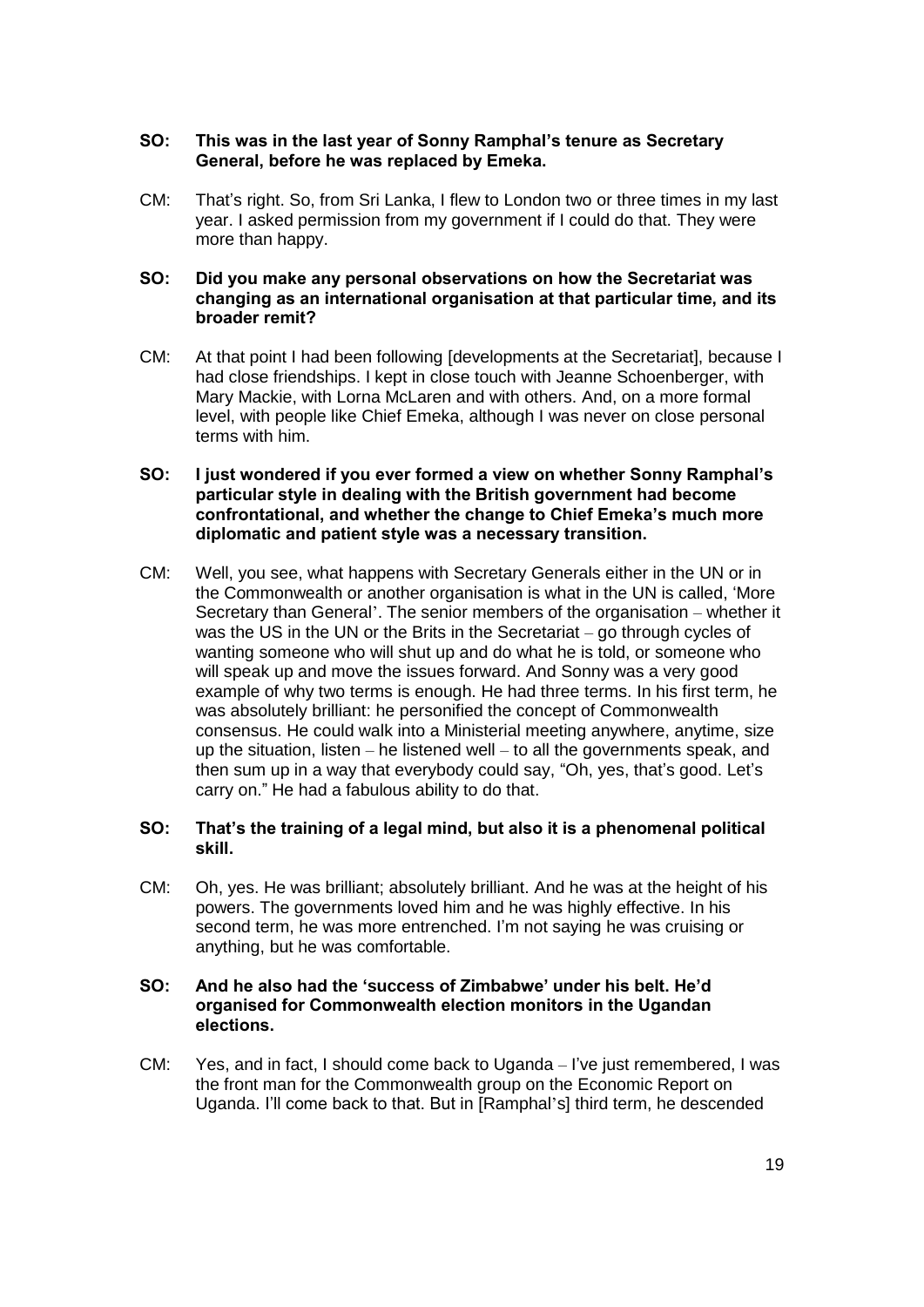## **SO: This was in the last year of Sonny Ramphal's tenure as Secretary General, before he was replaced by Emeka.**

CM: That's right. So, from Sri Lanka, I flew to London two or three times in my last year. I asked permission from my government if I could do that. They were more than happy.

## **SO: Did you make any personal observations on how the Secretariat was changing as an international organisation at that particular time, and its broader remit?**

CM: At that point I had been following [developments at the Secretariat], because I had close friendships. I kept in close touch with Jeanne Schoenberger, with Mary Mackie, with Lorna McLaren and with others. And, on a more formal level, with people like Chief Emeka, although I was never on close personal terms with him.

## **SO: I just wondered if you ever formed a view on whether Sonny Ramphal's particular style in dealing with the British government had become confrontational, and whether the change to Chief Emeka's much more diplomatic and patient style was a necessary transition.**

CM: Well, you see, what happens with Secretary Generals either in the UN or in the Commonwealth or another organisation is what in the UN is called, 'More Secretary than General'. The senior members of the organisation – whether it was the US in the UN or the Brits in the Secretariat – go through cycles of wanting someone who will shut up and do what he is told, or someone who will speak up and move the issues forward. And Sonny was a very good example of why two terms is enough. He had three terms. In his first term, he was absolutely brilliant: he personified the concept of Commonwealth consensus. He could walk into a Ministerial meeting anywhere, anytime, size up the situation, listen – he listened well – to all the governments speak, and then sum up in a way that everybody could say, "Oh, yes, that's good. Let's carry on." He had a fabulous ability to do that.

## **SO: That's the training of a legal mind, but also it is a phenomenal political skill.**

CM: Oh, yes. He was brilliant; absolutely brilliant. And he was at the height of his powers. The governments loved him and he was highly effective. In his second term, he was more entrenched. I'm not saying he was cruising or anything, but he was comfortable.

## **SO: And he also had the 'success of Zimbabwe' under his belt. He'd organised for Commonwealth election monitors in the Ugandan elections.**

CM: Yes, and in fact, I should come back to Uganda – I've just remembered, I was the front man for the Commonwealth group on the Economic Report on Uganda. I'll come back to that. But in [Ramphal's] third term, he descended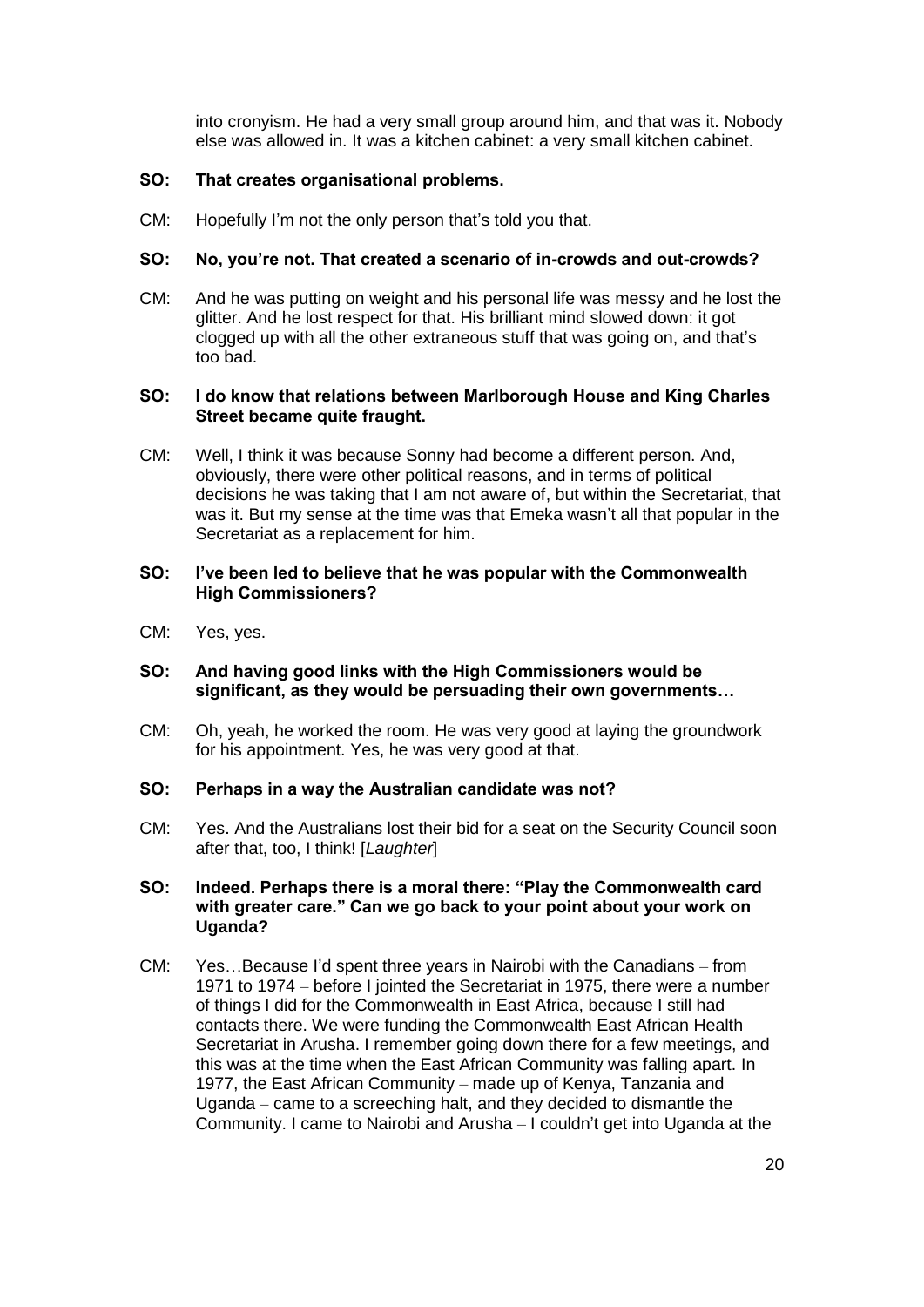into cronyism. He had a very small group around him, and that was it. Nobody else was allowed in. It was a kitchen cabinet: a very small kitchen cabinet.

## **SO: That creates organisational problems.**

CM: Hopefully I'm not the only person that's told you that.

## **SO: No, you're not. That created a scenario of in-crowds and out-crowds?**

CM: And he was putting on weight and his personal life was messy and he lost the glitter. And he lost respect for that. His brilliant mind slowed down: it got clogged up with all the other extraneous stuff that was going on, and that's too bad.

## **SO: I do know that relations between Marlborough House and King Charles Street became quite fraught.**

CM: Well, I think it was because Sonny had become a different person. And, obviously, there were other political reasons, and in terms of political decisions he was taking that I am not aware of, but within the Secretariat, that was it. But my sense at the time was that Emeka wasn't all that popular in the Secretariat as a replacement for him.

## **SO: I've been led to believe that he was popular with the Commonwealth High Commissioners?**

CM: Yes, yes.

## **SO: And having good links with the High Commissioners would be significant, as they would be persuading their own governments…**

CM: Oh, yeah, he worked the room. He was very good at laying the groundwork for his appointment. Yes, he was very good at that.

## **SO: Perhaps in a way the Australian candidate was not?**

CM: Yes. And the Australians lost their bid for a seat on the Security Council soon after that, too, I think! [*Laughter*]

#### **SO: Indeed. Perhaps there is a moral there: "Play the Commonwealth card with greater care." Can we go back to your point about your work on Uganda?**

CM: Yes…Because I'd spent three years in Nairobi with the Canadians – from 1971 to 1974 – before I jointed the Secretariat in 1975, there were a number of things I did for the Commonwealth in East Africa, because I still had contacts there. We were funding the Commonwealth East African Health Secretariat in Arusha. I remember going down there for a few meetings, and this was at the time when the East African Community was falling apart. In 1977, the East African Community – made up of Kenya, Tanzania and Uganda – came to a screeching halt, and they decided to dismantle the Community. I came to Nairobi and Arusha – I couldn't get into Uganda at the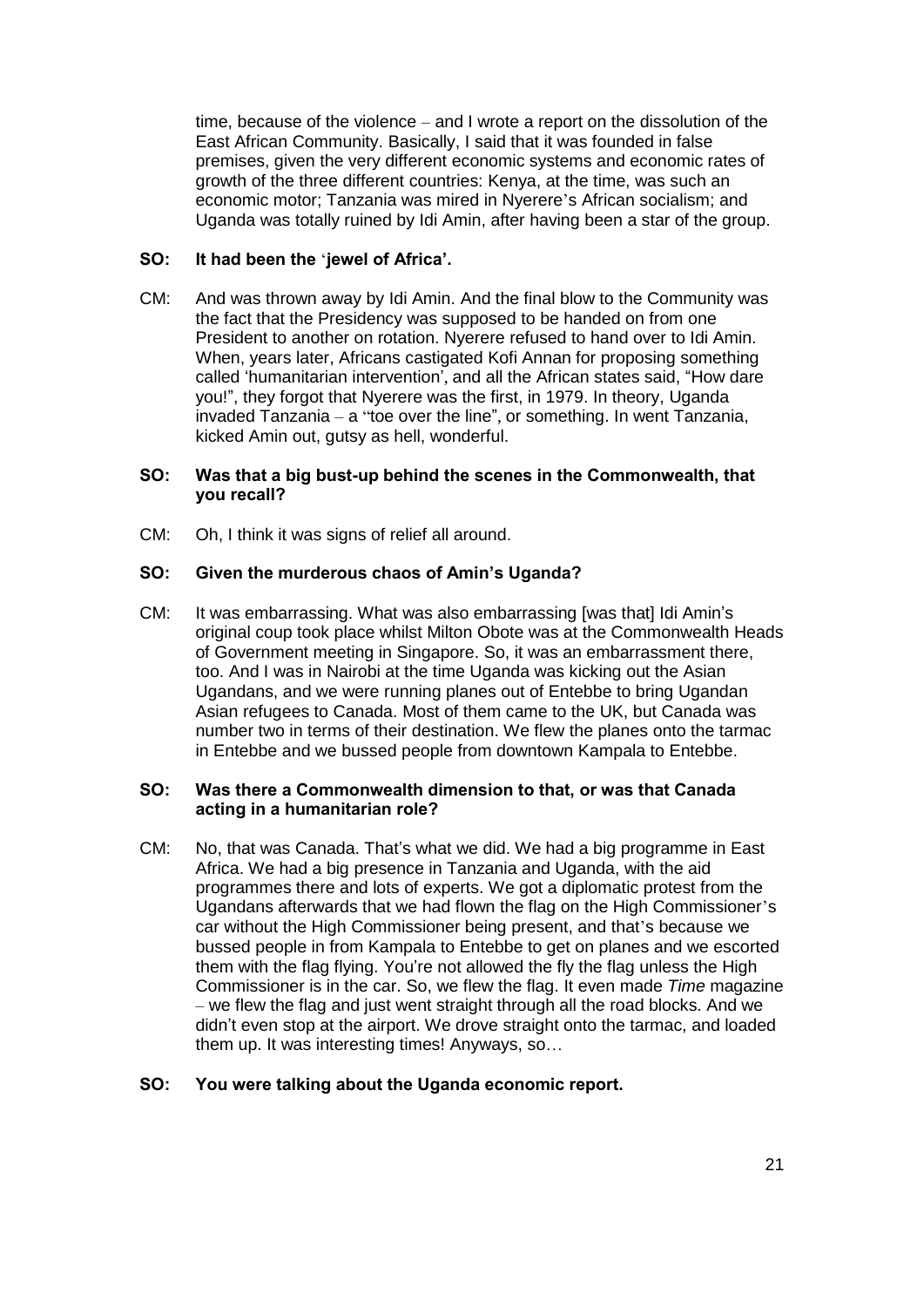time, because of the violence – and I wrote a report on the dissolution of the East African Community. Basically, I said that it was founded in false premises, given the very different economic systems and economic rates of growth of the three different countries: Kenya, at the time, was such an economic motor; Tanzania was mired in Nyerere's African socialism; and Uganda was totally ruined by Idi Amin, after having been a star of the group.

## **SO: It had been the** '**jewel of Africa'.**

CM: And was thrown away by Idi Amin. And the final blow to the Community was the fact that the Presidency was supposed to be handed on from one President to another on rotation. Nyerere refused to hand over to Idi Amin. When, years later, Africans castigated Kofi Annan for proposing something called 'humanitarian intervention', and all the African states said, "How dare you!", they forgot that Nyerere was the first, in 1979. In theory, Uganda invaded Tanzania – a "toe over the line", or something. In went Tanzania, kicked Amin out, gutsy as hell, wonderful.

## **SO: Was that a big bust-up behind the scenes in the Commonwealth, that you recall?**

CM: Oh, I think it was signs of relief all around.

## **SO: Given the murderous chaos of Amin's Uganda?**

CM: It was embarrassing. What was also embarrassing [was that] Idi Amin's original coup took place whilst Milton Obote was at the Commonwealth Heads of Government meeting in Singapore. So, it was an embarrassment there, too. And I was in Nairobi at the time Uganda was kicking out the Asian Ugandans, and we were running planes out of Entebbe to bring Ugandan Asian refugees to Canada. Most of them came to the UK, but Canada was number two in terms of their destination. We flew the planes onto the tarmac in Entebbe and we bussed people from downtown Kampala to Entebbe.

## **SO: Was there a Commonwealth dimension to that, or was that Canada acting in a humanitarian role?**

CM: No, that was Canada. That's what we did. We had a big programme in East Africa. We had a big presence in Tanzania and Uganda, with the aid programmes there and lots of experts. We got a diplomatic protest from the Ugandans afterwards that we had flown the flag on the High Commissioner's car without the High Commissioner being present, and that's because we bussed people in from Kampala to Entebbe to get on planes and we escorted them with the flag flying. You're not allowed the fly the flag unless the High Commissioner is in the car. So, we flew the flag. It even made *Time* magazine – we flew the flag and just went straight through all the road blocks. And we didn't even stop at the airport. We drove straight onto the tarmac, and loaded them up. It was interesting times! Anyways, so…

## **SO: You were talking about the Uganda economic report.**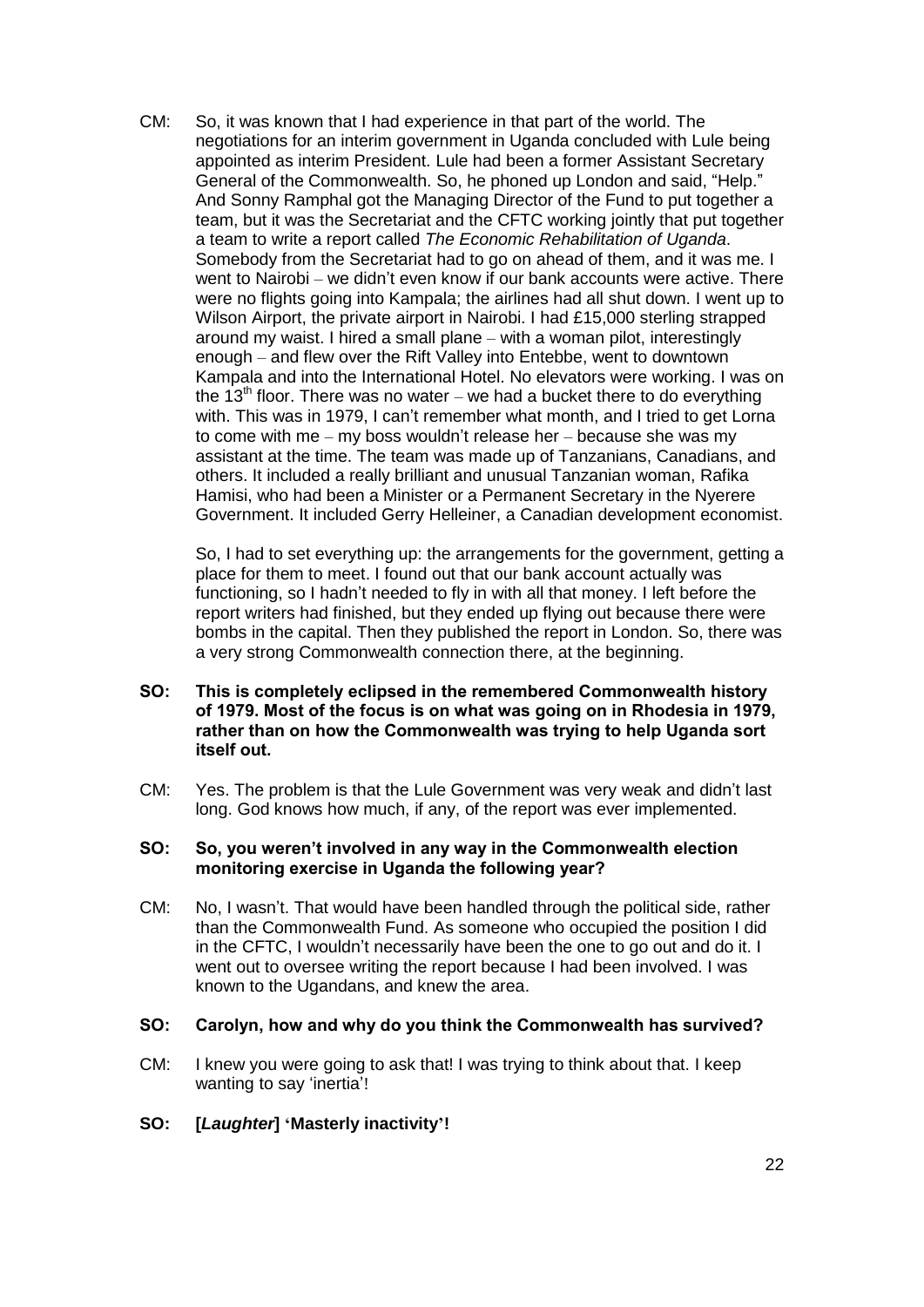CM: So, it was known that I had experience in that part of the world. The negotiations for an interim government in Uganda concluded with Lule being appointed as interim President. Lule had been a former Assistant Secretary General of the Commonwealth. So, he phoned up London and said, "Help." And Sonny Ramphal got the Managing Director of the Fund to put together a team, but it was the Secretariat and the CFTC working jointly that put together a team to write a report called *The Economic Rehabilitation of Uganda*. Somebody from the Secretariat had to go on ahead of them, and it was me. I went to Nairobi – we didn't even know if our bank accounts were active. There were no flights going into Kampala; the airlines had all shut down. I went up to Wilson Airport, the private airport in Nairobi. I had £15,000 sterling strapped around my waist. I hired a small plane – with a woman pilot, interestingly enough – and flew over the Rift Valley into Entebbe, went to downtown Kampala and into the International Hotel. No elevators were working. I was on the 13<sup>th</sup> floor. There was no water – we had a bucket there to do everything with. This was in 1979, I can't remember what month, and I tried to get Lorna to come with me – my boss wouldn't release her – because she was my assistant at the time. The team was made up of Tanzanians, Canadians, and others. It included a really brilliant and unusual Tanzanian woman, Rafika Hamisi, who had been a Minister or a Permanent Secretary in the Nyerere Government. It included Gerry Helleiner, a Canadian development economist.

So, I had to set everything up: the arrangements for the government, getting a place for them to meet. I found out that our bank account actually was functioning, so I hadn't needed to fly in with all that money. I left before the report writers had finished, but they ended up flying out because there were bombs in the capital. Then they published the report in London. So, there was a very strong Commonwealth connection there, at the beginning.

- **SO: This is completely eclipsed in the remembered Commonwealth history of 1979. Most of the focus is on what was going on in Rhodesia in 1979, rather than on how the Commonwealth was trying to help Uganda sort itself out.**
- CM: Yes. The problem is that the Lule Government was very weak and didn't last long. God knows how much, if any, of the report was ever implemented.

## **SO: So, you weren't involved in any way in the Commonwealth election monitoring exercise in Uganda the following year?**

CM: No, I wasn't. That would have been handled through the political side, rather than the Commonwealth Fund. As someone who occupied the position I did in the CFTC, I wouldn't necessarily have been the one to go out and do it. I went out to oversee writing the report because I had been involved. I was known to the Ugandans, and knew the area.

#### **SO: Carolyn, how and why do you think the Commonwealth has survived?**

CM: I knew you were going to ask that! I was trying to think about that. I keep wanting to say 'inertia'!

## **SO: [***Laughter***] 'Masterly inactivity'!**